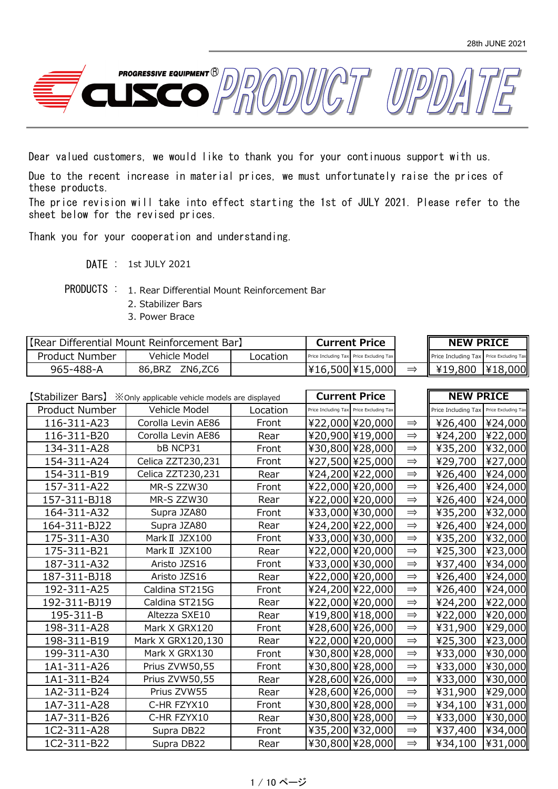

Dear valued customers, we would like to thank you for your continuous support with us.

Due to the recent increase in material prices, we must unfortunately raise the prices of these products.

The price revision will take into effect starting the 1st of JULY 2021. Please refer to the sheet below for the revised prices.

Thank you for your cooperation and understanding.

- DATE : 1st JULY 2021
- PRODUCTS : 1. Rear Differential Mount Reinforcement Bar
	- 2. Stabilizer Bars
	- 3. Power Brace

| [Rear Differential Mount Reinforcement Bar] |                    |          | <b>Current Price</b> |                                         | <b>NEW PRICE</b>                        |         |
|---------------------------------------------|--------------------|----------|----------------------|-----------------------------------------|-----------------------------------------|---------|
| Product Number                              | Vehicle Model      | Location |                      | Price Including Tax Price Excluding Tax | Price Including Tax Price Excluding Tax |         |
| 965-488-A                                   | ZN6,ZC6<br>86, BRZ |          |                      | ¥16,500 ¥15,000                         | ¥19,800                                 | ¥18,000 |

|                | <b>[Stabilizer Bars]</b> ※ Only applicable vehicle models are displayed |          | <b>Current Price</b>                    |               | <b>NEW PRICE</b>                        |         |
|----------------|-------------------------------------------------------------------------|----------|-----------------------------------------|---------------|-----------------------------------------|---------|
| Product Number | Vehicle Model                                                           | Location | Price Including Tax Price Excluding Tax |               | Price Including Tax Price Excluding Tax |         |
| 116-311-A23    | Corolla Levin AE86                                                      | Front    | ¥22,000 ¥20,000                         | $\Rightarrow$ | ¥26,400                                 | ¥24,000 |
| 116-311-B20    | Corolla Levin AE86                                                      | Rear     | ¥20,900 ¥19,000                         | $\Rightarrow$ | ¥24,200                                 | ¥22,000 |
| 134-311-A28    | <b>bB NCP31</b>                                                         | Front    | ¥30,800 ¥28,000                         | $\Rightarrow$ | ¥35,200                                 | ¥32,000 |
| 154-311-A24    | Celica ZZT230,231                                                       | Front    | ¥27,500 ¥25,000                         | $\Rightarrow$ | ¥29,700                                 | ¥27,000 |
| 154-311-B19    | Celica ZZT230,231                                                       | Rear     | ¥24,200 ¥22,000                         | $\Rightarrow$ | ¥26,400                                 | ¥24,000 |
| 157-311-A22    | MR-S ZZW30                                                              | Front    | ¥22,000 ¥20,000                         | $\Rightarrow$ | ¥26,400                                 | ¥24,000 |
| 157-311-BJ18   | MR-S ZZW30                                                              | Rear     | ¥22,000 ¥20,000                         | $\Rightarrow$ | ¥26,400                                 | ¥24,000 |
| 164-311-A32    | Supra JZA80                                                             | Front    | ¥33,000 ¥30,000                         | $\Rightarrow$ | ¥35,200                                 | ¥32,000 |
| 164-311-BJ22   | Supra JZA80                                                             | Rear     | ¥24,200 ¥22,000                         | $\implies$    | ¥26,400                                 | ¥24,000 |
| 175-311-A30    | Mark II JZX100                                                          | Front    | ¥33,000 ¥30,000                         | $\Rightarrow$ | ¥35,200                                 | ¥32,000 |
| 175-311-B21    | Mark II JZX100                                                          | Rear     | ¥22,000 ¥20,000                         | $\Rightarrow$ | ¥25,300                                 | ¥23,000 |
| 187-311-A32    | Aristo JZS16                                                            | Front    | ¥33,000 ¥30,000                         | $\Rightarrow$ | ¥37,400                                 | ¥34,000 |
| 187-311-BJ18   | Aristo JZS16                                                            | Rear     | ¥22,000 ¥20,000                         | $\Rightarrow$ | ¥26,400                                 | ¥24,000 |
| 192-311-A25    | Caldina ST215G                                                          | Front    | ¥24,200 ¥22,000                         | $\Rightarrow$ | ¥26,400                                 | ¥24,000 |
| 192-311-BJ19   | Caldina ST215G                                                          | Rear     | ¥22,000 ¥20,000                         | $\Rightarrow$ | ¥24,200                                 | ¥22,000 |
| 195-311-B      | Altezza SXE10                                                           | Rear     | ¥19,800 ¥18,000                         | $\Rightarrow$ | ¥22,000                                 | ¥20,000 |
| 198-311-A28    | Mark X GRX120                                                           | Front    | ¥28,600 ¥26,000                         | $\Rightarrow$ | ¥31,900                                 | ¥29,000 |
| 198-311-B19    | Mark X GRX120,130                                                       | Rear     | ¥22,000 ¥20,000                         | $\Rightarrow$ | ¥25,300                                 | ¥23,000 |
| 199-311-A30    | Mark X GRX130                                                           | Front    | ¥30,800 ¥28,000                         | $\implies$    | ¥33,000                                 | ¥30,000 |
| 1A1-311-A26    | Prius ZVW50,55                                                          | Front    | ¥30,800 ¥28,000                         | $\Rightarrow$ | ¥33,000                                 | ¥30,000 |
| 1A1-311-B24    | Prius ZVW50,55                                                          | Rear     | ¥28,600 ¥26,000                         | $\Rightarrow$ | ¥33,000                                 | ¥30,000 |
| 1A2-311-B24    | Prius ZVW55                                                             | Rear     | ¥28,600 ¥26,000                         | $\Rightarrow$ | ¥31,900                                 | ¥29,000 |
| 1A7-311-A28    | C-HR FZYX10                                                             | Front    | ¥30,800 ¥28,000                         | $\Rightarrow$ | ¥34,100                                 | ¥31,000 |
| 1A7-311-B26    | C-HR FZYX10                                                             | Rear     | ¥30,800 ¥28,000                         | $\Rightarrow$ | ¥33,000                                 | ¥30,000 |
| 1C2-311-A28    | Supra DB22                                                              | Front    | ¥35,200 ¥32,000                         | $\Rightarrow$ | ¥37,400                                 | ¥34,000 |
| 1C2-311-B22    | Supra DB22                                                              | Rear     | ¥30,800 ¥28,000                         | $\Rightarrow$ | ¥34,100                                 | ¥31,000 |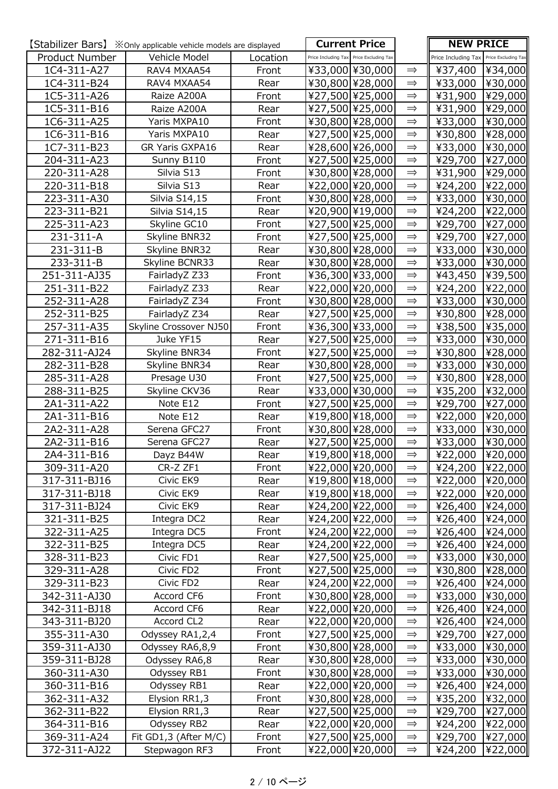|                | <b>[Stabilizer Bars]</b> $\cdot\mathbb{X}$ Only applicable vehicle models are displayed |          | <b>Current Price</b>                    |               | <b>NEW PRICE</b>                        |         |
|----------------|-----------------------------------------------------------------------------------------|----------|-----------------------------------------|---------------|-----------------------------------------|---------|
| Product Number | Vehicle Model                                                                           | Location | Price Including Tax Price Excluding Tax |               | Price Including Tax Price Excluding Tax |         |
| 1C4-311-A27    | RAV4 MXAA54                                                                             | Front    | ¥33,000 ¥30,000                         | $\Rightarrow$ | ¥37,400                                 | ¥34,000 |
| 1C4-311-B24    | RAV4 MXAA54                                                                             | Rear     | ¥30,800 ¥28,000                         | $\implies$    | ¥33,000                                 | ¥30,000 |
| 1C5-311-A26    | Raize A200A                                                                             | Front    | ¥27,500 ¥25,000                         | $\Rightarrow$ | ¥31,900                                 | ¥29,000 |
| 1C5-311-B16    | Raize A200A                                                                             | Rear     | ¥27,500 ¥25,000                         | $\Rightarrow$ | ¥31,900                                 | ¥29,000 |
| 1C6-311-A25    | Yaris MXPA10                                                                            | Front    | ¥30,800 ¥28,000                         | $\implies$    | ¥33,000                                 | ¥30,000 |
| 1C6-311-B16    | Yaris MXPA10                                                                            | Rear     | ¥27,500 ¥25,000                         | $\Rightarrow$ | ¥30,800                                 | ¥28,000 |
| 1C7-311-B23    | GR Yaris GXPA16                                                                         | Rear     | ¥28,600 ¥26,000                         | $\implies$    | ¥33,000                                 | ¥30,000 |
| 204-311-A23    | Sunny B110                                                                              | Front    | ¥27,500 ¥25,000                         | $\implies$    | ¥29,700                                 | ¥27,000 |
| 220-311-A28    | Silvia S13                                                                              | Front    | ¥30,800 ¥28,000                         | $\Rightarrow$ | ¥31,900                                 | ¥29,000 |
| 220-311-B18    | Silvia S13                                                                              | Rear     | ¥22,000 ¥20,000                         | $\Rightarrow$ | ¥24,200                                 | ¥22,000 |
| 223-311-A30    | Silvia S14,15                                                                           | Front    | ¥30,800 ¥28,000                         | $\Rightarrow$ | ¥33,000                                 | ¥30,000 |
| 223-311-B21    | Silvia S14,15                                                                           | Rear     | ¥20,900 ¥19,000                         | $\Rightarrow$ | ¥24,200                                 | ¥22,000 |
| 225-311-A23    | Skyline GC10                                                                            | Front    | ¥27,500 ¥25,000                         | $\Rightarrow$ | ¥29,700                                 | ¥27,000 |
| 231-311-A      | Skyline BNR32                                                                           | Front    | ¥27,500 ¥25,000                         | $\Rightarrow$ | ¥29,700                                 | ¥27,000 |
| 231-311-B      | Skyline BNR32                                                                           | Rear     | ¥30,800 ¥28,000                         | $\Rightarrow$ | ¥33,000                                 | ¥30,000 |
| 233-311-B      | Skyline BCNR33                                                                          | Rear     | ¥30,800 ¥28,000                         | $\implies$    | ¥33,000                                 | ¥30,000 |
| 251-311-AJ35   | FairladyZ Z33                                                                           | Front    | ¥36,300 ¥33,000                         | $\implies$    | ¥43,450                                 | ¥39,500 |
| 251-311-B22    | FairladyZ Z33                                                                           | Rear     | ¥22,000 ¥20,000                         | $\Rightarrow$ | ¥24,200                                 | ¥22,000 |
| 252-311-A28    | FairladyZ Z34                                                                           | Front    | ¥30,800 ¥28,000                         | $\Rightarrow$ | ¥33,000                                 | ¥30,000 |
| 252-311-B25    | FairladyZ Z34                                                                           | Rear     | ¥27,500 ¥25,000                         | $\implies$    | ¥30,800                                 | ¥28,000 |
| 257-311-A35    | Skyline Crossover NJ50                                                                  | Front    | ¥36,300 ¥33,000                         | $\Rightarrow$ | ¥38,500                                 | ¥35,000 |
| 271-311-B16    | Juke YF15                                                                               | Rear     | ¥27,500 ¥25,000                         | $\Rightarrow$ | ¥33,000                                 | ¥30,000 |
| 282-311-AJ24   | Skyline BNR34                                                                           | Front    | ¥27,500 ¥25,000                         | $\Rightarrow$ | ¥30,800                                 | ¥28,000 |
| 282-311-B28    | Skyline BNR34                                                                           | Rear     | ¥30,800 ¥28,000                         | $\Rightarrow$ | ¥33,000                                 | ¥30,000 |
| 285-311-A28    | Presage U30                                                                             | Front    | ¥27,500 ¥25,000                         | $\Rightarrow$ | ¥30,800                                 | ¥28,000 |
| 288-311-B25    | Skyline CKV36                                                                           | Rear     | ¥33,000 ¥30,000                         | $\Rightarrow$ | ¥35,200                                 | ¥32,000 |
| 2A1-311-A22    | Note E12                                                                                | Front    | ¥27,500 ¥25,000                         | $\implies$    | ¥29,700                                 | ¥27,000 |
| 2A1-311-B16    | Note E12                                                                                | Rear     | ¥19,800 ¥18,000                         | $\Rightarrow$ | ¥22,000                                 | ¥20,000 |
| 2A2-311-A28    | Serena GFC27                                                                            | Front    | ¥30,800 ¥28,000                         | $\Rightarrow$ | ¥33,000                                 | ¥30,000 |
| 2A2-311-B16    | Serena GFC27                                                                            | Rear     | ¥27,500 ¥25,000                         | $\Rightarrow$ | ¥33,000                                 | ¥30,000 |
| 2A4-311-B16    | Dayz B44W                                                                               | Rear     | ¥19,800 ¥18,000                         | $\Rightarrow$ | ¥22,000                                 | ¥20,000 |
| 309-311-A20    | CR-Z ZF1                                                                                | Front    | ¥22,000 ¥20,000                         | $\Rightarrow$ | ¥24,200                                 | ¥22,000 |
| 317-311-BJ16   | Civic EK9                                                                               | Rear     | ¥19,800 ¥18,000                         | $\Rightarrow$ | ¥22,000                                 | ¥20,000 |
| 317-311-BJ18   | Civic EK9                                                                               | Rear     | ¥19,800 ¥18,000                         | $\implies$    | ¥22,000                                 | ¥20,000 |
| 317-311-BJ24   | Civic EK9                                                                               | Rear     | ¥24,200 ¥22,000                         | $\implies$    | ¥26,400                                 | ¥24,000 |
| 321-311-B25    | Integra DC2                                                                             | Rear     | ¥24,200 ¥22,000                         | $\implies$    | ¥26,400                                 | ¥24,000 |
| 322-311-A25    | Integra DC5                                                                             | Front    | ¥24,200 ¥22,000                         | $\implies$    | ¥26,400                                 | ¥24,000 |
| 322-311-B25    | Integra DC5                                                                             | Rear     | ¥24,200 ¥22,000                         | $\implies$    | ¥26,400                                 | ¥24,000 |
| 328-311-B23    | Civic FD1                                                                               | Rear     | ¥27,500 ¥25,000                         | $\implies$    | ¥33,000                                 | ¥30,000 |
| 329-311-A28    | Civic FD2                                                                               | Front    | ¥27,500 ¥25,000                         | $\implies$    | ¥30,800                                 | ¥28,000 |
| 329-311-B23    | Civic FD2                                                                               | Rear     | ¥24,200 ¥22,000                         | $\implies$    | ¥26,400                                 | ¥24,000 |
| 342-311-AJ30   | Accord CF6                                                                              | Front    | ¥30,800 ¥28,000                         | $\Rightarrow$ | ¥33,000                                 | ¥30,000 |
| 342-311-BJ18   | Accord CF6                                                                              | Rear     | ¥22,000 ¥20,000                         | $\implies$    | ¥26,400                                 | ¥24,000 |
| 343-311-BJ20   | Accord CL2                                                                              | Rear     | ¥22,000 ¥20,000                         | $\Rightarrow$ | ¥26,400                                 | ¥24,000 |
| 355-311-A30    | Odyssey RA1,2,4                                                                         | Front    | ¥27,500 ¥25,000                         | $\implies$    | ¥29,700                                 | ¥27,000 |
| 359-311-AJ30   | Odyssey RA6,8,9                                                                         | Front    | ¥30,800 ¥28,000                         | $\Rightarrow$ | ¥33,000                                 | ¥30,000 |
| 359-311-BJ28   | Odyssey RA6,8                                                                           | Rear     | ¥30,800 ¥28,000                         | $\implies$    | ¥33,000                                 | ¥30,000 |
| 360-311-A30    | Odyssey RB1                                                                             | Front    | ¥30,800 ¥28,000                         | $\implies$    | ¥33,000                                 | ¥30,000 |
| 360-311-B16    | Odyssey RB1                                                                             | Rear     | ¥22,000 ¥20,000                         | $\Rightarrow$ | ¥26,400                                 | ¥24,000 |
| 362-311-A32    | Elysion RR1,3                                                                           | Front    | ¥30,800 ¥28,000                         | $\implies$    | ¥35,200                                 | ¥32,000 |
| 362-311-B22    | Elysion RR1,3                                                                           | Rear     | ¥27,500 ¥25,000                         | $\Rightarrow$ | ¥29,700                                 | ¥27,000 |
| 364-311-B16    | Odyssey RB2                                                                             | Rear     | ¥22,000 ¥20,000                         | $\implies$    | ¥24,200                                 | ¥22,000 |
| 369-311-A24    | Fit GD1,3 (After M/C)                                                                   | Front    | ¥27,500 ¥25,000                         | $\implies$    | ¥29,700                                 | ¥27,000 |
| 372-311-AJ22   | Stepwagon RF3                                                                           | Front    | ¥22,000 ¥20,000                         | $\Rightarrow$ | ¥24,200                                 | ¥22,000 |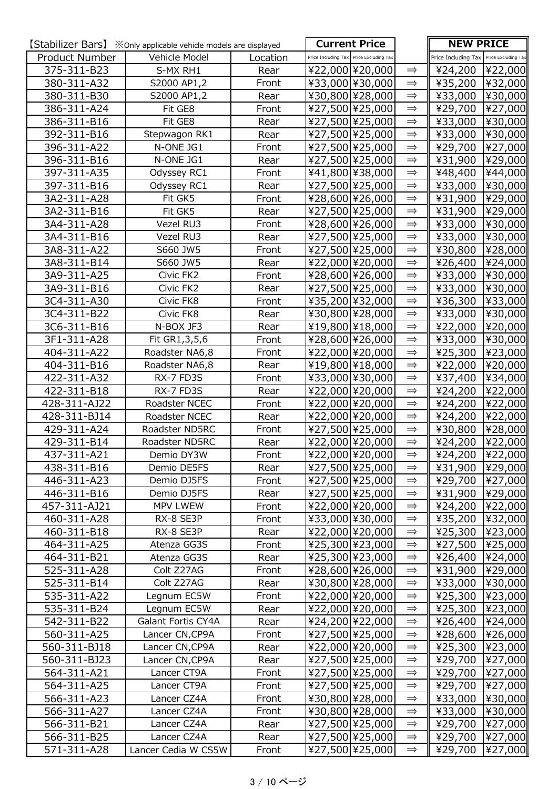|                | <b>[Stabilizer Bars]</b> $\cdot\mathbb{X}$ Only applicable vehicle models are displayed |          | <b>Current Price</b>                    |               | <b>NEW PRICE</b>                        |         |
|----------------|-----------------------------------------------------------------------------------------|----------|-----------------------------------------|---------------|-----------------------------------------|---------|
| Product Number | Vehicle Model                                                                           | Location | Price Including Tax Price Excluding Tax |               | Price Including Tax Price Excluding Tax |         |
| 375-311-B23    | S-MX RH1                                                                                | Rear     | ¥22,000 ¥20,000                         | $\Rightarrow$ | ¥24,200                                 | ¥22,000 |
| 380-311-A32    | S2000 AP1,2                                                                             | Front    | ¥33,000 ¥30,000                         | $\implies$    | ¥35,200  ¥32,000                        |         |
| 380-311-B30    | S2000 AP1,2                                                                             | Rear     | ¥30,800 ¥28,000                         | $\Rightarrow$ | ¥33,000                                 | ¥30,000 |
| 386-311-A24    | Fit GE8                                                                                 | Front    | ¥27,500 ¥25,000                         | $\Rightarrow$ | ¥29,700                                 | ¥27,000 |
| 386-311-B16    | Fit GE8                                                                                 | Rear     | ¥27,500 ¥25,000                         | $\implies$    | ¥33,000                                 | ¥30,000 |
| 392-311-B16    | Stepwagon RK1                                                                           | Rear     | ¥27,500 ¥25,000                         | $\Rightarrow$ | ¥33,000                                 | ¥30,000 |
| 396-311-A22    | N-ONE JG1                                                                               | Front    | ¥27,500 ¥25,000                         | $\implies$    | ¥29,700                                 | ¥27,000 |
| 396-311-B16    | N-ONE JG1                                                                               | Rear     | ¥27,500 ¥25,000                         | $\Rightarrow$ | ¥31,900                                 | ¥29,000 |
| 397-311-A35    | Odyssey RC1                                                                             | Front    | ¥41,800 ¥38,000                         | $\implies$    | ¥48,400                                 | ¥44,000 |
| 397-311-B16    | Odyssey RC1                                                                             | Rear     | ¥27,500 ¥25,000                         | $\implies$    | ¥33,000                                 | ¥30,000 |
| 3A2-311-A28    | Fit GK5                                                                                 | Front    | ¥28,600 ¥26,000                         | $\Rightarrow$ | ¥31,900                                 | ¥29,000 |
| 3A2-311-B16    | Fit GK5                                                                                 | Rear     | ¥27,500 ¥25,000                         | $\Rightarrow$ | ¥31,900                                 | ¥29,000 |
| 3A4-311-A28    | Vezel RU3                                                                               | Front    | ¥28,600 ¥26,000                         | $\implies$    | ¥33,000                                 | ¥30,000 |
| 3A4-311-B16    | Vezel RU3                                                                               | Rear     | ¥27,500 ¥25,000                         | $\Rightarrow$ | ¥33,000                                 | ¥30,000 |
| 3A8-311-A22    | S660 JW5                                                                                | Front    | ¥27,500 ¥25,000                         | $\Rightarrow$ | ¥30,800                                 | ¥28,000 |
| 3A8-311-B14    | S660 JW5                                                                                | Rear     | ¥22,000 ¥20,000                         | $\implies$    | ¥26,400                                 | ¥24,000 |
| 3A9-311-A25    | Civic FK2                                                                               | Front    | ¥28,600 ¥26,000                         | $\implies$    | ¥33,000                                 | ¥30,000 |
| 3A9-311-B16    | Civic FK2                                                                               | Rear     | ¥27,500 ¥25,000                         | $\implies$    | ¥33,000                                 | ¥30,000 |
| 3C4-311-A30    | Civic FK8                                                                               | Front    | ¥35,200 ¥32,000                         | $\Rightarrow$ | ¥36,300                                 | ¥33,000 |
| 3C4-311-B22    | Civic FK8                                                                               | Rear     | ¥30,800 ¥28,000                         | $\implies$    | ¥33,000                                 | ¥30,000 |
| 3C6-311-B16    | N-BOX JF3                                                                               | Rear     | ¥19,800 ¥18,000                         | $\implies$    | ¥22,000                                 | ¥20,000 |
| 3F1-311-A28    | Fit GR1,3,5,6                                                                           | Front    | ¥28,600 ¥26,000                         | $\Rightarrow$ | ¥33,000                                 | ¥30,000 |
| 404-311-A22    | Roadster NA6,8                                                                          | Front    | ¥22,000 ¥20,000                         | $\implies$    | ¥25,300                                 | ¥23,000 |
| 404-311-B16    | Roadster NA6,8                                                                          | Rear     | ¥19,800 ¥18,000                         | $\Rightarrow$ | ¥22,000                                 | ¥20,000 |
| 422-311-A32    | RX-7 FD3S                                                                               | Front    | ¥33,000 ¥30,000                         | $\implies$    | ¥37,400                                 | ¥34,000 |
| 422-311-B18    | RX-7 FD3S                                                                               | Rear     | ¥22,000 ¥20,000                         | $\Rightarrow$ | ¥24,200                                 | ¥22,000 |
| 428-311-AJ22   | Roadster NCEC                                                                           | Front    | ¥22,000 ¥20,000                         | $\implies$    | ¥24,200                                 | ¥22,000 |
| 428-311-BJ14   | Roadster NCEC                                                                           | Rear     | ¥22,000 ¥20,000                         | $\Rightarrow$ | ¥24,200                                 | ¥22,000 |
| 429-311-A24    | Roadster ND5RC                                                                          | Front    | ¥27,500 ¥25,000                         | $\Rightarrow$ | ¥30,800                                 | ¥28,000 |
| 429-311-B14    | Roadster ND5RC                                                                          | Rear     | ¥22,000 ¥20,000                         | $\implies$    | ¥24,200                                 | ¥22,000 |
| 437-311-A21    | Demio DY3W                                                                              | Front    | ¥22,000 ¥20,000                         | $\Rightarrow$ | ¥24,200 ¥22,000                         |         |
| 438-311-B16    | Demio DE5FS                                                                             | Rear     | ¥27,500 ¥25,000                         | $\Rightarrow$ | ¥31,900                                 | ¥29,000 |
| 446-311-A23    | Demio DJ5FS                                                                             | Front    | ¥27,500 ¥25,000                         | $\Rightarrow$ | ¥29,700                                 | ¥27,000 |
| 446-311-B16    | Demio DJ5FS                                                                             | Rear     | ¥27,500 ¥25,000                         | $\implies$    | ¥31,900                                 | ¥29,000 |
| 457-311-AJ21   | MPV LWEW                                                                                | Front    | ¥22,000 ¥20,000                         | $\implies$    | ¥24,200                                 | ¥22,000 |
| 460-311-A28    | RX-8 SE3P                                                                               | Front    | ¥33,000 \¥30,000                        | $\implies$    | ¥35,200                                 | ¥32,000 |
| 460-311-B18    | RX-8 SE3P                                                                               | Rear     | ¥22,000 ¥20,000                         | $\implies$    | ¥25,300  ¥23,000                        |         |
| 464-311-A25    | Atenza GG3S                                                                             | Front    | ¥25,300 ¥23,000                         | $\implies$    | ¥27,500                                 | ¥25,000 |
| 464-311-B21    | Atenza GG3S                                                                             | Rear     | ¥25,300 ¥23,000                         | $\Rightarrow$ | ¥26,400                                 | ¥24,000 |
| 525-311-A28    | Colt Z27AG                                                                              | Front    | ¥28,600 ¥26,000                         | $\implies$    | ¥31,900                                 | ¥29,000 |
| 525-311-B14    | Colt Z27AG                                                                              | Rear     | ¥30,800 ¥28,000                         | $\implies$    | ¥33,000                                 | ¥30,000 |
| 535-311-A22    | Legnum EC5W                                                                             | Front    | ¥22,000 ¥20,000                         | $\implies$    | ¥25,300                                 | ¥23,000 |
| 535-311-B24    | Legnum EC5W                                                                             | Rear     | ¥22,000 ¥20,000                         | $\implies$    | ¥25,300                                 | ¥23,000 |
| 542-311-B22    | Galant Fortis CY4A                                                                      | Rear     | ¥24,200 ¥22,000                         | $\implies$    | ¥26,400                                 | ¥24,000 |
| 560-311-A25    | Lancer CN, CP9A                                                                         | Front    | ¥27,500 ¥25,000                         | $\implies$    | ¥28,600                                 | ¥26,000 |
| 560-311-BJ18   | Lancer CN, CP9A                                                                         | Rear     | ¥22,000 ¥20,000                         | $\implies$    | ¥25,300                                 | ¥23,000 |
| 560-311-BJ23   | Lancer CN, CP9A                                                                         | Rear     | ¥27,500 ¥25,000                         | $\implies$    | ¥29,700                                 | ¥27,000 |
| 564-311-A21    | Lancer CT9A                                                                             | Front    | ¥27,500 ¥25,000                         | $\implies$    | ¥29,700                                 | ¥27,000 |
| 564-311-A25    | Lancer CT9A                                                                             | Front    | ¥27,500 ¥25,000                         | $\Rightarrow$ | ¥29,700                                 | ¥27,000 |
| 566-311-A23    | Lancer CZ4A                                                                             | Front    | ¥30,800 ¥28,000                         | $\Rightarrow$ | ¥33,000                                 | ¥30,000 |
| 566-311-A27    | Lancer CZ4A                                                                             | Front    | ¥30,800 ¥28,000                         | $\implies$    | ¥33,000  ¥30,000                        |         |
| 566-311-B21    | Lancer CZ4A                                                                             | Rear     | ¥27,500 ¥25,000                         | $\implies$    | ¥29,700                                 | ¥27,000 |
| 566-311-B25    | Lancer CZ4A                                                                             | Rear     | ¥27,500 ¥25,000                         | $\implies$    | ¥29,700                                 | ¥27,000 |
| 571-311-A28    | Lancer Cedia W CS5W                                                                     | Front    | ¥27,500 ¥25,000                         | $\Rightarrow$ | ¥29,700                                 | ¥27,000 |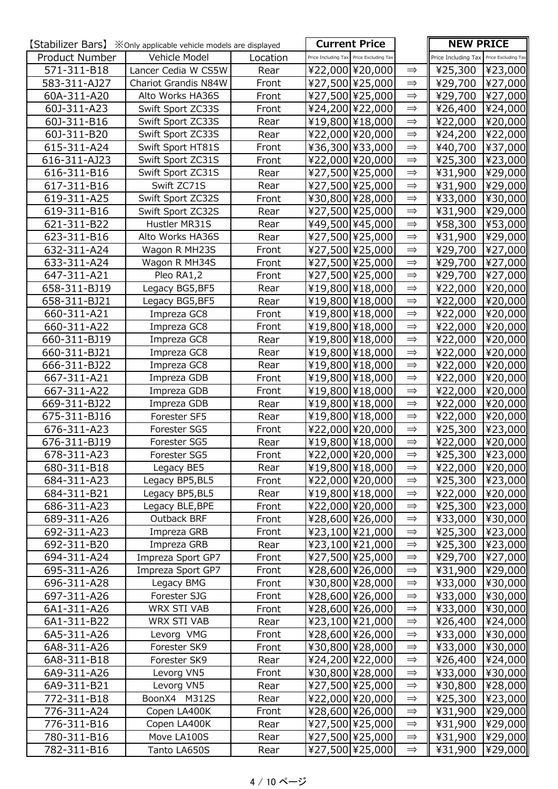|                | <b>[Stabilizer Bars]</b> $\cdot \times$ Only applicable vehicle models are displayed |          |                                         | <b>Current Price</b> |               | <b>NEW PRICE</b>                        |         |
|----------------|--------------------------------------------------------------------------------------|----------|-----------------------------------------|----------------------|---------------|-----------------------------------------|---------|
| Product Number | Vehicle Model                                                                        | Location | Price Including Tax Price Excluding Tax |                      |               | Price Including Tax Price Excluding Tax |         |
| 571-311-B18    | Lancer Cedia W CS5W                                                                  | Rear     | ¥22,000 ¥20,000                         |                      | $\implies$    | ¥25,300                                 | ¥23,000 |
| 583-311-AJ27   | Chariot Grandis N84W                                                                 | Front    | ¥27,500 ¥25,000                         |                      | $\Rightarrow$ | ¥29,700                                 | ¥27,000 |
| 60A-311-A20    | Alto Works HA36S                                                                     | Front    |                                         | ¥27,500 ¥25,000      | $\implies$    | ¥29,700                                 | ¥27,000 |
| 60J-311-A23    | Swift Sport ZC33S                                                                    | Front    | ¥24,200 ¥22,000                         |                      | $\Rightarrow$ | ¥26,400                                 | ¥24,000 |
| 60J-311-B16    | Swift Sport ZC33S                                                                    | Rear     |                                         | ¥19,800 ¥18,000      | $\implies$    | ¥22,000                                 | ¥20,000 |
| 60J-311-B20    | Swift Sport ZC33S                                                                    | Rear     |                                         | ¥22,000 ¥20,000      | $\Rightarrow$ | ¥24,200                                 | ¥22,000 |
| 615-311-A24    | Swift Sport HT81S                                                                    | Front    | ¥36,300 ¥33,000                         |                      | $\implies$    | ¥40,700                                 | ¥37,000 |
| 616-311-AJ23   | Swift Sport ZC31S                                                                    | Front    | ¥22,000 ¥20,000                         |                      | $\Rightarrow$ | ¥25,300                                 | ¥23,000 |
| 616-311-B16    | Swift Sport ZC31S                                                                    | Rear     | ¥27,500 ¥25,000                         |                      | $\Rightarrow$ | ¥31,900                                 | ¥29,000 |
| 617-311-B16    | Swift ZC71S                                                                          | Rear     | ¥27,500 ¥25,000                         |                      | $\Rightarrow$ | ¥31,900                                 | ¥29,000 |
| 619-311-A25    | Swift Sport ZC32S                                                                    | Front    | ¥30,800 ¥28,000                         |                      | $\Rightarrow$ | ¥33,000                                 | ¥30,000 |
| 619-311-B16    | Swift Sport ZC32S                                                                    | Rear     |                                         | ¥27,500 ¥25,000      | $\Rightarrow$ | ¥31,900                                 | ¥29,000 |
| 621-311-B22    | Hustler MR31S                                                                        | Rear     |                                         | ¥49,500 ¥45,000      | $\Rightarrow$ | ¥58,300                                 | ¥53,000 |
| 623-311-B16    | Alto Works HA36S                                                                     | Rear     | ¥27,500 ¥25,000                         |                      | $\Rightarrow$ | ¥31,900                                 | ¥29,000 |
| 632-311-A24    | Wagon R MH23S                                                                        | Front    |                                         | ¥27,500 ¥25,000      | $\Rightarrow$ | ¥29,700                                 | ¥27,000 |
| 633-311-A24    | Wagon R MH34S                                                                        | Front    | ¥27,500 ¥25,000                         |                      | $\implies$    | ¥29,700                                 | ¥27,000 |
| 647-311-A21    | Pleo RA1,2                                                                           | Front    | ¥27,500 ¥25,000                         |                      | $\Rightarrow$ | ¥29,700                                 | ¥27,000 |
| 658-311-BJ19   | Legacy BG5, BF5                                                                      | Rear     | ¥19,800 ¥18,000                         |                      | $\Rightarrow$ | ¥22,000                                 | ¥20,000 |
| 658-311-BJ21   | Legacy BG5, BF5                                                                      | Rear     |                                         | ¥19,800 ¥18,000      | $\implies$    | ¥22,000                                 | ¥20,000 |
| 660-311-A21    | Impreza GC8                                                                          | Front    |                                         | ¥19,800 ¥18,000      | $\Rightarrow$ | ¥22,000                                 | ¥20,000 |
| 660-311-A22    | Impreza GC8                                                                          | Front    | ¥19,800 ¥18,000                         |                      | $\implies$    | ¥22,000                                 | ¥20,000 |
| 660-311-BJ19   | Impreza GC8                                                                          | Rear     |                                         | ¥19,800 ¥18,000      | $\Rightarrow$ | ¥22,000                                 | ¥20,000 |
| 660-311-BJ21   | Impreza GC8                                                                          | Rear     | ¥19,800 ¥18,000                         |                      | $\implies$    | ¥22,000                                 | ¥20,000 |
| 666-311-BJ22   | Impreza GC8                                                                          | Rear     |                                         | ¥19,800 ¥18,000      | $\implies$    | ¥22,000                                 | ¥20,000 |
| 667-311-A21    | Impreza GDB                                                                          | Front    | ¥19,800 ¥18,000                         |                      | $\Rightarrow$ | ¥22,000                                 | ¥20,000 |
| 667-311-A22    | Impreza GDB                                                                          | Front    |                                         | ¥19,800 ¥18,000      | $\Rightarrow$ | ¥22,000                                 | ¥20,000 |
| 669-311-BJ22   | Impreza GDB                                                                          | Rear     |                                         | ¥19,800 ¥18,000      | $\Rightarrow$ | ¥22,000                                 | ¥20,000 |
| 675-311-BJ16   | Forester SF5                                                                         | Rear     |                                         | ¥19,800 ¥18,000      | $\Rightarrow$ | ¥22,000                                 | ¥20,000 |
| 676-311-A23    | Forester SG5                                                                         | Front    | ¥22,000 ¥20,000                         |                      | $\Rightarrow$ | ¥25,300                                 | ¥23,000 |
| 676-311-BJ19   | Forester SG5                                                                         | Rear     |                                         | ¥19,800 ¥18,000      | $\implies$    | ¥22,000                                 | ¥20,000 |
| 678-311-A23    | Forester SG5                                                                         | Front    |                                         | ¥22,000 ¥20,000      | $\Rightarrow$ | ¥25,300                                 | ¥23,000 |
| 680-311-B18    | Legacy BE5                                                                           | Rear     |                                         | ¥19,800 ¥18,000      | $\Rightarrow$ | ¥22,000                                 | ¥20,000 |
| 684-311-A23    | Legacy BP5, BL5                                                                      | Front    |                                         | ¥22,000 ¥20,000      | $\Rightarrow$ | ¥25,300  ¥23,000                        |         |
| 684-311-B21    | Legacy BP5, BL5                                                                      | Rear     |                                         | ¥19,800 ¥18,000      | $\implies$    | ¥22,000                                 | ¥20,000 |
| 686-311-A23    | Legacy BLE, BPE                                                                      | Front    |                                         | ¥22,000 ¥20,000      | $\implies$    | ¥25,300                                 | ¥23,000 |
| 689-311-A26    | Outback BRF                                                                          | Front    |                                         | ¥28,600 ¥26,000      | $\Rightarrow$ | ¥33,000                                 | ¥30,000 |
| 692-311-A23    | Impreza GRB                                                                          | Front    |                                         | ¥23,100 ¥21,000      | $\implies$    | ¥25,300                                 | ¥23,000 |
| 692-311-B20    | Impreza GRB                                                                          | Rear     |                                         | ¥23,100 ¥21,000      | $\Rightarrow$ | ¥25,300                                 | ¥23,000 |
| 694-311-A24    | Impreza Sport GP7                                                                    | Front    |                                         | ¥27,500 ¥25,000      | $\implies$    | ¥29,700                                 | ¥27,000 |
| 695-311-A26    | Impreza Sport GP7                                                                    | Front    |                                         | ¥28,600 ¥26,000      | $\Rightarrow$ | ¥31,900  ¥29,000                        |         |
| 696-311-A28    | Legacy BMG                                                                           | Front    |                                         | ¥30,800 ¥28,000      | $\implies$    | ¥33,000                                 | ¥30,000 |
| 697-311-A26    | Forester SJG                                                                         | Front    |                                         | ¥28,600 ¥26,000      | $\Rightarrow$ | ¥33,000                                 | ¥30,000 |
| 6A1-311-A26    | WRX STI VAB                                                                          | Front    |                                         | ¥28,600 ¥26,000      | $\Rightarrow$ | ¥33,000                                 | ¥30,000 |
| 6A1-311-B22    | WRX STI VAB                                                                          | Rear     |                                         | ¥23,100 ¥21,000      | $\implies$    | ¥26,400                                 | ¥24,000 |
| 6A5-311-A26    | Levorg VMG                                                                           | Front    |                                         | ¥28,600 ¥26,000      | $\Rightarrow$ | ¥33,000                                 | ¥30,000 |
| 6A8-311-A26    | Forester SK9                                                                         | Front    |                                         | ¥30,800 ¥28,000      | $\implies$    | ¥33,000                                 | ¥30,000 |
| 6A8-311-B18    | Forester SK9                                                                         | Rear     |                                         | ¥24,200 ¥22,000      | $\Rightarrow$ | ¥26,400                                 | ¥24,000 |
| 6A9-311-A26    | Levorg VN5                                                                           | Front    |                                         | ¥30,800 ¥28,000      | $\Rightarrow$ | ¥33,000                                 | ¥30,000 |
| 6A9-311-B21    | Levorg VN5                                                                           | Rear     |                                         | ¥27,500 ¥25,000      | $\Rightarrow$ | ¥30,800                                 | ¥28,000 |
| 772-311-B18    | BoonX4 M312S                                                                         | Rear     |                                         | ¥22,000 ¥20,000      | $\Rightarrow$ | ¥25,300                                 | ¥23,000 |
| 776-311-A24    | Copen LA400K                                                                         | Front    |                                         | ¥28,600 ¥26,000      | $\implies$    | ¥31,900                                 | ¥29,000 |
| 776-311-B16    | Copen LA400K                                                                         | Rear     |                                         | ¥27,500 ¥25,000      | $\Rightarrow$ | ¥31,900                                 | ¥29,000 |
| 780-311-B16    | Move LA100S                                                                          | Rear     |                                         | ¥27,500 ¥25,000      | $\implies$    | ¥31,900                                 | ¥29,000 |
| 782-311-B16    | Tanto LA650S                                                                         | Rear     |                                         | ¥27,500 ¥25,000      | $\Rightarrow$ | ¥31,900                                 | ¥29,000 |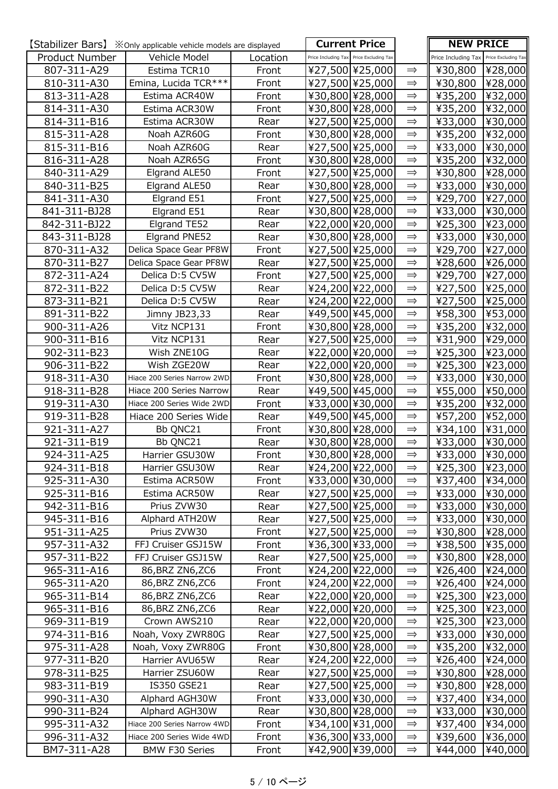|                | [Stabilizer Bars] $\mathbb{X}$ Only applicable vehicle models are displayed |          |                                         | <b>Current Price</b> |               | <b>NEW PRICE</b>                        |         |
|----------------|-----------------------------------------------------------------------------|----------|-----------------------------------------|----------------------|---------------|-----------------------------------------|---------|
| Product Number | Vehicle Model                                                               | Location | Price Including Tax Price Excluding Tax |                      |               | Price Including Tax Price Excluding Tax |         |
| 807-311-A29    | Estima TCR10                                                                | Front    |                                         | ¥27,500 ¥25,000      | $\Rightarrow$ | ¥30,800                                 | ¥28,000 |
| 810-311-A30    | Emina, Lucida TCR ***                                                       | Front    |                                         | ¥27,500 ¥25,000      | $\implies$    | ¥30,800                                 | ¥28,000 |
| 813-311-A28    | Estima ACR40W                                                               | Front    |                                         | ¥30,800 ¥28,000      | $\Rightarrow$ | ¥35,200                                 | ¥32,000 |
| 814-311-A30    | Estima ACR30W                                                               | Front    |                                         | ¥30,800 ¥28,000      | $\Rightarrow$ | ¥35,200                                 | ¥32,000 |
| 814-311-B16    | Estima ACR30W                                                               | Rear     |                                         | ¥27,500 ¥25,000      | $\implies$    | ¥33,000                                 | ¥30,000 |
| 815-311-A28    | Noah AZR60G                                                                 | Front    |                                         | ¥30,800 ¥28,000      | $\implies$    | ¥35,200                                 | ¥32,000 |
| 815-311-B16    | Noah AZR60G                                                                 | Rear     |                                         | ¥27,500 ¥25,000      | $\implies$    | ¥33,000                                 | ¥30,000 |
| 816-311-A28    | Noah AZR65G                                                                 | Front    |                                         | ¥30,800 ¥28,000      | $\Rightarrow$ | ¥35,200                                 | ¥32,000 |
| 840-311-A29    | Elgrand ALE50                                                               | Front    |                                         | ¥27,500 ¥25,000      | $\implies$    | ¥30,800                                 | ¥28,000 |
| 840-311-B25    | Elgrand ALE50                                                               | Rear     |                                         | ¥30,800 ¥28,000      | $\Rightarrow$ | ¥33,000                                 | ¥30,000 |
| 841-311-A30    | Elgrand E51                                                                 | Front    |                                         | ¥27,500 ¥25,000      | $\Rightarrow$ | ¥29,700                                 | ¥27,000 |
| 841-311-BJ28   | Elgrand E51                                                                 | Rear     |                                         | ¥30,800 ¥28,000      | $\Rightarrow$ | ¥33,000                                 | ¥30,000 |
| 842-311-BJ22   | Elgrand TE52                                                                | Rear     |                                         | ¥22,000 ¥20,000      | $\Rightarrow$ | ¥25,300                                 | ¥23,000 |
| 843-311-BJ28   | Elgrand PNE52                                                               | Rear     |                                         | ¥30,800 ¥28,000      | $\Rightarrow$ | ¥33,000                                 | ¥30,000 |
| 870-311-A32    | Delica Space Gear PF8W                                                      | Front    |                                         | ¥27,500 ¥25,000      | $\Rightarrow$ | ¥29,700                                 | ¥27,000 |
| 870-311-B27    | Delica Space Gear PF8W                                                      | Rear     |                                         | ¥27,500 ¥25,000      | $\implies$    | ¥28,600                                 | ¥26,000 |
| 872-311-A24    | Delica D:5 CV5W                                                             | Front    |                                         | ¥27,500 ¥25,000      | $\Rightarrow$ | ¥29,700                                 | ¥27,000 |
| 872-311-B22    | Delica D:5 CV5W                                                             | Rear     |                                         | ¥24,200 ¥22,000      | $\implies$    | ¥27,500                                 | ¥25,000 |
| 873-311-B21    | Delica D:5 CV5W                                                             | Rear     |                                         | ¥24,200 ¥22,000      | $\Rightarrow$ | ¥27,500                                 | ¥25,000 |
| 891-311-B22    | Jimny JB23,33                                                               | Rear     |                                         | ¥49,500 ¥45,000      | $\Rightarrow$ | ¥58,300                                 | ¥53,000 |
| 900-311-A26    | Vitz NCP131                                                                 | Front    |                                         | ¥30,800 ¥28,000      | $\implies$    | ¥35,200                                 | ¥32,000 |
| 900-311-B16    | Vitz NCP131                                                                 | Rear     |                                         | ¥27,500 ¥25,000      | $\Rightarrow$ | ¥31,900                                 | ¥29,000 |
| 902-311-B23    | Wish ZNE10G                                                                 | Rear     |                                         | ¥22,000 ¥20,000      | $\Rightarrow$ | ¥25,300                                 | ¥23,000 |
| 906-311-B22    | Wish ZGE20W                                                                 | Rear     |                                         | ¥22,000 ¥20,000      | $\Rightarrow$ | ¥25,300                                 | ¥23,000 |
| 918-311-A30    | Hiace 200 Series Narrow 2WD                                                 | Front    |                                         | ¥30,800 ¥28,000      | $\Rightarrow$ | ¥33,000                                 | ¥30,000 |
| 918-311-B28    | Hiace 200 Series Narrow                                                     | Rear     |                                         | ¥49,500 ¥45,000      | $\Rightarrow$ | ¥55,000                                 | ¥50,000 |
| 919-311-A30    | Hiace 200 Series Wide 2WD                                                   | Front    |                                         | ¥33,000 ¥30,000      | $\Rightarrow$ | ¥35,200                                 | ¥32,000 |
| 919-311-B28    | Hiace 200 Series Wide                                                       | Rear     |                                         | ¥49,500 ¥45,000      | $\Rightarrow$ | ¥57,200                                 | ¥52,000 |
| 921-311-A27    | Bb QNC21                                                                    | Front    |                                         | ¥30,800 ¥28,000      | $\Rightarrow$ | ¥34,100                                 | ¥31,000 |
| 921-311-B19    | Bb QNC21                                                                    | Rear     |                                         | ¥30,800 ¥28,000      | $\Rightarrow$ | ¥33,000                                 | ¥30,000 |
| 924-311-A25    | Harrier GSU30W                                                              | Front    |                                         | ¥30,800 ¥28,000      | $\Rightarrow$ | ¥33,000 ¥30,000                         |         |
| 924-311-B18    | Harrier GSU30W                                                              | Rear     |                                         | ¥24,200 ¥22,000      | $\Rightarrow$ | ¥25,300                                 | ¥23,000 |
| 925-311-A30    | Estima ACR50W                                                               | Front    |                                         | ¥33,000 ¥30,000      | $\Rightarrow$ | ¥37,400                                 | ¥34,000 |
| 925-311-B16    | Estima ACR50W                                                               | Rear     |                                         | ¥27,500 ¥25,000      | $\Rightarrow$ | ¥33,000                                 | ¥30,000 |
| 942-311-B16    | Prius ZVW30                                                                 | Rear     |                                         | ¥27,500 ¥25,000      | $\Rightarrow$ | ¥33,000                                 | ¥30,000 |
| 945-311-B16    | Alphard ATH20W                                                              | Rear     |                                         | ¥27,500 ¥25,000      | $\Rightarrow$ | ¥33,000                                 | ¥30,000 |
| 951-311-A25    | Prius ZVW30                                                                 | Front    |                                         | ¥27,500 ¥25,000      | $\implies$    | ¥30,800                                 | ¥28,000 |
| 957-311-A32    | FFJ Cruiser GSJ15W                                                          | Front    |                                         | ¥36,300 ¥33,000      | $\Rightarrow$ | ¥38,500                                 | ¥35,000 |
| 957-311-B22    | FFJ Cruiser GSJ15W                                                          | Rear     |                                         | ¥27,500 ¥25,000      | $\Rightarrow$ | ¥30,800                                 | ¥28,000 |
| 965-311-A16    | 86, BRZ ZN6, ZC6                                                            | Front    |                                         | ¥24,200 ¥22,000      | $\implies$    | ¥26,400                                 | ¥24,000 |
| 965-311-A20    | 86, BRZ ZN6, ZC6                                                            | Front    |                                         | ¥24,200 ¥22,000      | $\Rightarrow$ | ¥26,400                                 | ¥24,000 |
| 965-311-B14    | 86, BRZ ZN6, ZC6                                                            | Rear     |                                         | ¥22,000 ¥20,000      | $\implies$    | ¥25,300                                 | ¥23,000 |
| 965-311-B16    | 86, BRZ ZN6, ZC6                                                            | Rear     |                                         | ¥22,000 ¥20,000      | $\Rightarrow$ | ¥25,300                                 | ¥23,000 |
| 969-311-B19    | Crown AWS210                                                                | Rear     |                                         | ¥22,000 ¥20,000      | $\Rightarrow$ | ¥25,300                                 | ¥23,000 |
| 974-311-B16    | Noah, Voxy ZWR80G                                                           | Rear     |                                         | ¥27,500 ¥25,000      | $\Rightarrow$ | ¥33,000                                 | ¥30,000 |
| 975-311-A28    | Noah, Voxy ZWR80G                                                           | Front    |                                         | ¥30,800 ¥28,000      | $\implies$    | ¥35,200                                 | ¥32,000 |
| 977-311-B20    | Harrier AVU65W                                                              | Rear     |                                         | ¥24,200 ¥22,000      | $\implies$    | ¥26,400                                 | ¥24,000 |
| 978-311-B25    | Harrier ZSU60W                                                              | Rear     |                                         | ¥27,500 ¥25,000      | $\implies$    | ¥30,800                                 | ¥28,000 |
| 983-311-B19    | IS350 GSE21                                                                 | Rear     |                                         | ¥27,500 ¥25,000      | $\implies$    | ¥30,800                                 | ¥28,000 |
| 990-311-A30    | Alphard AGH30W                                                              | Front    |                                         | ¥33,000 ¥30,000      | $\implies$    | ¥37,400                                 | ¥34,000 |
| 990-311-B24    | Alphard AGH30W                                                              | Rear     |                                         | ¥30,800 ¥28,000      | $\Rightarrow$ | ¥33,000                                 | ¥30,000 |
| 995-311-A32    | Hiace 200 Series Narrow 4WD                                                 | Front    |                                         | ¥34,100 ¥31,000      | $\implies$    | ¥37,400                                 | ¥34,000 |
| 996-311-A32    | Hiace 200 Series Wide 4WD                                                   | Front    |                                         | ¥36,300 ¥33,000      | $\Rightarrow$ | ¥39,600                                 | ¥36,000 |
| BM7-311-A28    | <b>BMW F30 Series</b>                                                       | Front    |                                         | ¥42,900 ¥39,000      | $\Rightarrow$ | ¥44,000                                 | ¥40,000 |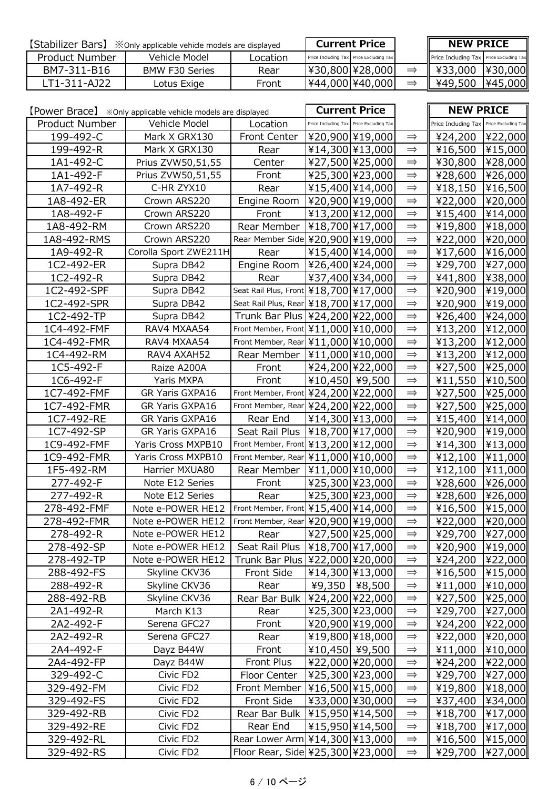| [Stabilizer Bars]<br>X Only applicable vehicle models are displayed |                | <b>Current Price</b> |                                         | <b>NEW PRICE</b> |                                         |         |
|---------------------------------------------------------------------|----------------|----------------------|-----------------------------------------|------------------|-----------------------------------------|---------|
| Product Number                                                      | Vehicle Model  | Location             | Price Including Tax Price Excluding Tax |                  | Price Including Tax Price Excluding Tax |         |
| BM7-311-B16                                                         | BMW F30 Series | Rear                 | [¥30,800]¥28,000]                       |                  | $\parallel$ ¥33,000                     | ¥30,000 |
| LT1-311-A122                                                        | Lotus Exige    | Front                | ¥44,000 ¥40,000                         |                  | ¥49,500                                 | ¥45,000 |

|                |                       |                                        |                | <b>Current Price</b>                    |               | <b>NEW PRICE</b>                        |         |
|----------------|-----------------------|----------------------------------------|----------------|-----------------------------------------|---------------|-----------------------------------------|---------|
| Product Number | Vehicle Model         | Location                               |                | Price Including Tax Price Excluding Tax |               | Price Including Tax Price Excluding Tax |         |
| 199-492-C      | Mark X GRX130         | Front Center                           |                | ¥20,900 ¥19,000                         | $\Rightarrow$ | ¥24,200                                 | ¥22,000 |
| 199-492-R      | Mark X GRX130         | Rear                                   |                | ¥14,300 ¥13,000                         | $\Rightarrow$ | ¥16,500                                 | ¥15,000 |
| 1A1-492-C      | Prius ZVW50,51,55     | Center                                 |                | ¥27,500 ¥25,000                         | $\Rightarrow$ | ¥30,800                                 | ¥28,000 |
| 1A1-492-F      | Prius ZVW50,51,55     | Front                                  |                | ¥25,300 ¥23,000                         | $\Rightarrow$ | ¥28,600                                 | ¥26,000 |
| 1A7-492-R      | C-HR ZYX10            | Rear                                   |                | ¥15,400 ¥14,000                         | $\Rightarrow$ | ¥18,150                                 | ¥16,500 |
| 1A8-492-ER     | Crown ARS220          | Engine Room                            |                | ¥20,900 ¥19,000                         | $\implies$    | ¥22,000                                 | ¥20,000 |
| 1A8-492-F      | Crown ARS220          | Front                                  |                | ¥13,200 ¥12,000                         | $\Rightarrow$ | ¥15,400                                 | ¥14,000 |
| 1A8-492-RM     | Crown ARS220          | Rear Member                            |                | ¥18,700 ¥17,000                         | $\Rightarrow$ | ¥19,800                                 | ¥18,000 |
| 1A8-492-RMS    | Crown ARS220          | Rear Member Side ¥20,900 ¥19,000       |                |                                         | $\Rightarrow$ | ¥22,000                                 | ¥20,000 |
| 1A9-492-R      | Corolla Sport ZWE211H | Rear                                   |                | ¥15,400 ¥14,000                         | $\Rightarrow$ | ¥17,600                                 | ¥16,000 |
| 1C2-492-ER     | Supra DB42            | Engine Room                            |                | ¥26,400 ¥24,000                         | $\Rightarrow$ | ¥29,700                                 | ¥27,000 |
| 1C2-492-R      | Supra DB42            | Rear                                   |                | ¥37,400 ¥34,000                         | $\Rightarrow$ | ¥41,800                                 | ¥38,000 |
| 1C2-492-SPF    | Supra DB42            | Seat Rail Plus, Front ¥18,700 ¥17,000  |                |                                         | $\Rightarrow$ | ¥20,900                                 | ¥19,000 |
| 1C2-492-SPR    | Supra DB42            | Seat Rail Plus, Rear ¥18,700 ¥17,000   |                |                                         | $\Rightarrow$ | ¥20,900                                 | ¥19,000 |
| 1C2-492-TP     | Supra DB42            | Trunk Bar Plus   ¥24,200   ¥22,000     |                |                                         | $\Rightarrow$ | ¥26,400                                 | ¥24,000 |
| 1C4-492-FMF    | RAV4 MXAA54           | Front Member, Front ¥11,000 ¥10,000    |                |                                         | $\Rightarrow$ | ¥13,200                                 | ¥12,000 |
| 1C4-492-FMR    | RAV4 MXAA54           | Front Member, Rear   ¥11,000   ¥10,000 |                |                                         | $\implies$    | ¥13,200                                 | ¥12,000 |
| 1C4-492-RM     | RAV4 AXAH52           | Rear Member                            |                | ¥11,000 ¥10,000                         | $\Rightarrow$ | ¥13,200                                 | ¥12,000 |
| 1C5-492-F      | Raize A200A           | Front                                  |                | ¥24,200 ¥22,000                         | $\Rightarrow$ | ¥27,500                                 | ¥25,000 |
| 1C6-492-F      | Yaris MXPA            | Front                                  | ¥10,450 ¥9,500 |                                         | $\Rightarrow$ | ¥11,550                                 | ¥10,500 |
| 1C7-492-FMF    | GR Yaris GXPA16       | Front Member, Front ¥24,200 ¥22,000    |                |                                         | $\Rightarrow$ | ¥27,500                                 | ¥25,000 |
| 1C7-492-FMR    | GR Yaris GXPA16       | Front Member, Rear ¥24,200 ¥22,000     |                |                                         | $\Rightarrow$ | ¥27,500                                 | ¥25,000 |
| 1C7-492-RE     | GR Yaris GXPA16       | Rear End                               |                | ¥14,300 ¥13,000                         | $\implies$    | ¥15,400                                 | ¥14,000 |
| 1C7-492-SP     | GR Yaris GXPA16       | Seat Rail Plus                         |                | ¥18,700 ¥17,000                         | $\implies$    | ¥20,900                                 | ¥19,000 |
| 1C9-492-FMF    | Yaris Cross MXPB10    | Front Member, Front ¥13,200 ¥12,000    |                |                                         | $\implies$    | ¥14,300                                 | ¥13,000 |
| 1C9-492-FMR    | Yaris Cross MXPB10    | Front Member, Rear ¥11,000 ¥10,000     |                |                                         | $\Rightarrow$ | ¥12,100                                 | ¥11,000 |
| 1F5-492-RM     | Harrier MXUA80        | Rear Member                            |                | ¥11,000 ¥10,000                         | $\Rightarrow$ | ¥12,100                                 | ¥11,000 |
| 277-492-F      | Note E12 Series       | Front                                  |                | ¥25,300 ¥23,000                         | $\Rightarrow$ | ¥28,600                                 | ¥26,000 |
| 277-492-R      | Note E12 Series       | Rear                                   |                | ¥25,300 ¥23,000                         | $\Rightarrow$ | ¥28,600                                 | ¥26,000 |
| 278-492-FMF    | Note e-POWER HE12     | Front Member, Front ¥15,400 ¥14,000    |                |                                         | $\Rightarrow$ | ¥16,500                                 | ¥15,000 |
| 278-492-FMR    | Note e-POWER HE12     | Front Member, Rear ¥20,900 ¥19,000     |                |                                         | $\Rightarrow$ | ¥22,000                                 | ¥20,000 |
| 278-492-R      | Note e-POWER HE12     | Rear                                   |                | ¥27,500 ¥25,000                         | $\Rightarrow$ | ¥29,700                                 | ¥27,000 |
| 278-492-SP     | Note e-POWER HE12     | Seat Rail Plus                         |                | ¥18,700 ¥17,000                         | $\Rightarrow$ | ¥20,900                                 | ¥19,000 |
| 278-492-TP     | Note e-POWER HE12     | Trunk Bar Plus   ¥22,000   ¥20,000     |                |                                         | $\Rightarrow$ | ¥24,200                                 | ¥22,000 |
| 288-492-FS     | Skyline CKV36         | Front Side                             |                | ¥14,300 ¥13,000                         | $\Rightarrow$ | ¥16,500                                 | ¥15,000 |
| 288-492-R      | Skyline CKV36         | Rear                                   |                | ¥9,350   ¥8,500                         | $\Rightarrow$ | ¥11,000                                 | ¥10,000 |
| 288-492-RB     | Skyline CKV36         | Rear Bar Bulk                          |                | ¥24,200 ¥22,000                         | $\Rightarrow$ | ¥27,500                                 | ¥25,000 |
| 2A1-492-R      | March K13             | Rear                                   |                | ¥25,300 ¥23,000                         | $\implies$    | ¥29,700                                 | ¥27,000 |
| 2A2-492-F      | Serena GFC27          | Front                                  |                | ¥20,900 ¥19,000                         | $\Rightarrow$ | ¥24,200                                 | ¥22,000 |
| 2A2-492-R      | Serena GFC27          | Rear                                   |                | ¥19,800 ¥18,000                         | $\implies$    | ¥22,000                                 | ¥20,000 |
| 2A4-492-F      | Dayz B44W             | Front                                  | ¥10,450 ¥9,500 |                                         | $\Rightarrow$ | ¥11,000                                 | ¥10,000 |
| 2A4-492-FP     | Dayz B44W             | Front Plus                             |                | ¥22,000 ¥20,000                         | $\implies$    | ¥24,200                                 | ¥22,000 |
| 329-492-C      | Civic FD2             | Floor Center                           |                | ¥25,300 ¥23,000                         | $\Rightarrow$ | ¥29,700                                 | ¥27,000 |
| 329-492-FM     | Civic FD2             | Front Member                           |                | ¥16,500 ¥15,000                         | $\Rightarrow$ | ¥19,800                                 | ¥18,000 |
| 329-492-FS     | Civic FD2             | Front Side                             |                | ¥33,000 ¥30,000                         | $\implies$    | ¥37,400                                 | ¥34,000 |
| 329-492-RB     | Civic FD2             | Rear Bar Bulk                          |                | ¥15,950 ¥14,500                         | $\Rightarrow$ | ¥18,700                                 | ¥17,000 |
| 329-492-RE     | Civic FD2             | Rear End                               |                | ¥15,950 ¥14,500                         | $\implies$    | ¥18,700                                 | ¥17,000 |
| 329-492-RL     | Civic FD2             | Rear Lower Arm   ¥14,300   ¥13,000     |                |                                         | $\implies$    | ¥16,500                                 | ¥15,000 |
| 329-492-RS     | Civic FD2             | Floor Rear, Side ¥25,300 ¥23,000       |                |                                         | $\Rightarrow$ | ¥29,700                                 | ¥27,000 |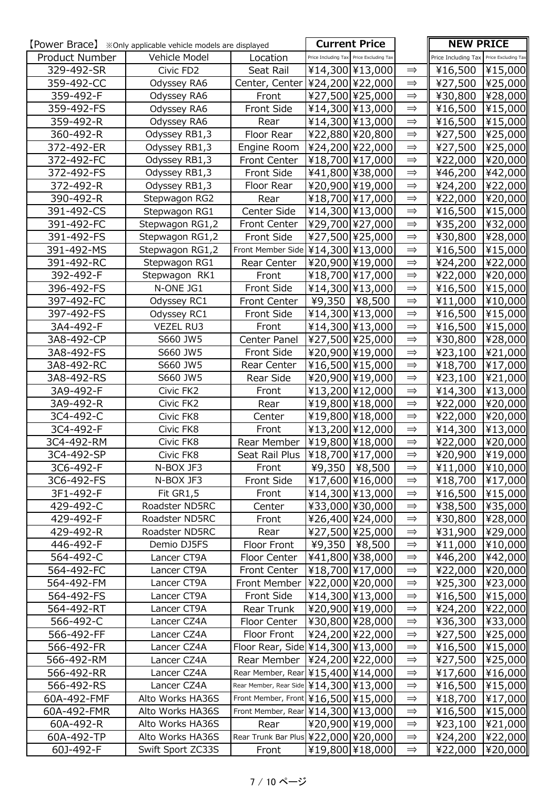|                          |                            |                              | <b>Current Price</b>                       |                                | <b>NEW PRICE</b>    |                     |
|--------------------------|----------------------------|------------------------------|--------------------------------------------|--------------------------------|---------------------|---------------------|
| Product Number           | Vehicle Model              | Location                     | Price Including Tax Price Excluding Tax    |                                | Price Including Tax | Price Excluding Tax |
| 329-492-SR               | Civic FD2                  | Seat Rail                    | ¥14,300 ¥13,000                            | $\Rightarrow$                  | ¥16,500             | ¥15,000             |
| 359-492-CC               | Odyssey RA6                | Center, Center               | ¥24,200 ¥22,000                            | $\implies$                     | ¥27,500             | ¥25,000             |
| 359-492-F                | Odyssey RA6                | Front                        | ¥27,500 ¥25,000                            | $\implies$                     | ¥30,800             | ¥28,000             |
| 359-492-FS               | Odyssey RA6                | Front Side                   | ¥14,300 ¥13,000                            | $\Rightarrow$                  | ¥16,500             | ¥15,000             |
| 359-492-R                | Odyssey RA6                | Rear                         | ¥14,300 ¥13,000                            | $\implies$                     | ¥16,500             | ¥15,000             |
| 360-492-R                | Odyssey RB1,3              | Floor Rear                   | ¥22,880 ¥20,800                            | $\Rightarrow$                  | ¥27,500             | ¥25,000             |
| 372-492-ER               | Odyssey RB1,3              | Engine Room                  | ¥24,200 ¥22,000                            | $\implies$                     | ¥27,500             | ¥25,000             |
| 372-492-FC               | Odyssey RB1,3              | Front Center                 | ¥18,700 ¥17,000                            | $\Rightarrow$                  | ¥22,000             | ¥20,000             |
| 372-492-FS               | Odyssey RB1,3              | Front Side                   | ¥41,800 ¥38,000                            | $\implies$                     | ¥46,200             | ¥42,000             |
| 372-492-R                | Odyssey RB1,3              | Floor Rear                   | ¥20,900 ¥19,000                            | $\implies$                     | ¥24,200             | ¥22,000             |
| 390-492-R                | Stepwagon RG2              | Rear                         | ¥18,700 ¥17,000                            | $\implies$                     | ¥22,000             | ¥20,000             |
| 391-492-CS               | Stepwagon RG1              | Center Side                  | ¥14,300 ¥13,000                            | $\implies$                     | ¥16,500             | ¥15,000             |
| 391-492-FC               | Stepwagon RG1,2            | Front Center                 | ¥29,700 ¥27,000                            | $\implies$                     | ¥35,200             | ¥32,000             |
| 391-492-FS               | Stepwagon RG1,2            | Front Side                   | ¥27,500 ¥25,000                            | $\implies$                     | ¥30,800             | ¥28,000             |
| 391-492-MS               | Stepwagon RG1,2            |                              | Front Member Side   ¥14,300   ¥13,000      | $\Rightarrow$                  | ¥16,500             | ¥15,000             |
| 391-492-RC               | Stepwagon RG1              | Rear Center                  | ¥20,900 ¥19,000                            | $\implies$                     | ¥24,200             | ¥22,000             |
| 392-492-F                | Stepwagon RK1              | Front                        | ¥18,700 ¥17,000                            | $\implies$                     | ¥22,000             | ¥20,000             |
| 396-492-FS               | N-ONE JG1                  | Front Side                   | ¥14,300 ¥13,000                            | $\Rightarrow$                  | ¥16,500             | ¥15,000             |
| 397-492-FC               | Odyssey RC1                | Front Center                 | ¥9,350   ¥8,500                            | $\implies$                     | ¥11,000             | ¥10,000             |
| 397-492-FS               | Odyssey RC1                | Front Side                   | ¥14,300 ¥13,000                            | $\implies$                     | ¥16,500             | ¥15,000             |
| 3A4-492-F                | <b>VEZEL RU3</b>           | Front                        | ¥14,300 ¥13,000                            | $\implies$                     | ¥16,500             | ¥15,000             |
| 3A8-492-CP               | S660 JW5                   | Center Panel                 | ¥27,500 ¥25,000                            | $\Rightarrow$                  | ¥30,800             | ¥28,000             |
| 3A8-492-FS               | S660 JW5                   | Front Side                   | ¥20,900 ¥19,000                            | $\implies$                     | ¥23,100             | ¥21,000             |
| 3A8-492-RC               | S660 JW5                   | Rear Center                  | ¥16,500 ¥15,000                            | $\implies$                     | ¥18,700             | ¥17,000             |
| 3A8-492-RS               | S660 JW5                   | Rear Side                    | ¥20,900 ¥19,000                            | $\Rightarrow$                  | ¥23,100             | ¥21,000             |
| 3A9-492-F                | Civic FK2                  | Front                        | ¥13,200 ¥12,000                            | $\Rightarrow$                  | ¥14,300             | ¥13,000             |
| 3A9-492-R                | Civic FK2                  | Rear                         | ¥19,800 ¥18,000                            | $\Rightarrow$                  | ¥22,000             | ¥20,000             |
| 3C4-492-C                | Civic FK8                  | Center                       | ¥19,800 ¥18,000                            | $\implies$                     | ¥22,000             | ¥20,000             |
| 3C4-492-F                | Civic FK8                  | Front                        | ¥13,200 ¥12,000                            | $\implies$                     | ¥14,300             | ¥13,000             |
| 3C4-492-RM               | Civic FK8                  | Rear Member                  | ¥19,800 ¥18,000                            | $\implies$                     | ¥22,000             | ¥20,000             |
| 3C4-492-SP               | Civic FK8                  |                              | Seat Rail Plus   ¥18,700   ¥17,000         | $\Rightarrow$                  | ¥20,900             | $\sqrt{419,000}$    |
| 3C6-492-F                | N-BOX JF3                  | Front                        | ¥9,350   ¥8,500                            | $\Rightarrow$                  | ¥11,000             | ¥10,000             |
| 3C6-492-FS               | N-BOX JF3                  | Front Side                   | ¥17,600 ¥16,000                            | $\Rightarrow$                  | ¥18,700             | ¥17,000             |
| 3F1-492-F                | Fit GR1,5                  | Front                        | ¥14,300 ¥13,000                            | $\implies$                     | ¥16,500             | ¥15,000             |
| 429-492-C                | Roadster ND5RC             | Center                       | ¥33,000 ¥30,000                            | $\implies$                     | ¥38,500             | ¥35,000             |
| 429-492-F                | Roadster ND5RC             | Front                        | ¥26,400 ¥24,000                            | $\Rightarrow$                  | ¥30,800             | ¥28,000             |
| 429-492-R                | Roadster ND5RC             | Rear                         | ¥27,500 ¥25,000                            | $\implies$                     | ¥31,900             | ¥29,000             |
| 446-492-F                | Demio DJ5FS                | Floor Front                  | ¥9,350 ¥8,500                              | $\Rightarrow$<br>$\Rightarrow$ | ¥11,000             | ¥10,000             |
| 564-492-C                | Lancer CT9A                | Floor Center<br>Front Center | ¥41,800 ¥38,000<br>¥18,700 ¥17,000         | $\Rightarrow$                  | ¥46,200             | ¥42,000             |
| 564-492-FC               | Lancer CT9A<br>Lancer CT9A | Front Member                 |                                            | $\implies$                     | ¥22,000<br>¥25,300  | ¥20,000             |
| 564-492-FM<br>564-492-FS | Lancer CT9A                | Front Side                   | ¥22,000 ¥20,000<br>¥14,300 ¥13,000         | $\implies$                     | ¥16,500             | ¥23,000             |
| 564-492-RT               | Lancer CT9A                | Rear Trunk                   | ¥20,900 ¥19,000                            | $\implies$                     | ¥24,200             | ¥15,000<br>¥22,000  |
| 566-492-C                | Lancer CZ4A                | Floor Center                 | ¥30,800 ¥28,000                            | $\implies$                     | ¥36,300             | ¥33,000             |
| 566-492-FF               | Lancer CZ4A                | Floor Front                  | ¥24,200 ¥22,000                            | $\Rightarrow$                  | ¥27,500             | ¥25,000             |
| 566-492-FR               | Lancer CZ4A                |                              | Floor Rear, Side \\\$14,300 \\\$13,000     | $\Rightarrow$                  | ¥16,500             | ¥15,000             |
| 566-492-RM               | Lancer CZ4A                | Rear Member                  | ¥24,200 ¥22,000                            | $\implies$                     | ¥27,500             | ¥25,000             |
| 566-492-RR               | Lancer CZ4A                |                              | Rear Member, Rear ¥15,400 ¥14,000          | $\implies$                     | ¥17,600             | ¥16,000             |
| 566-492-RS               | Lancer CZ4A                |                              | Rear Member, Rear Side   ¥14,300   ¥13,000 | $\implies$                     | ¥16,500             | ¥15,000             |
| 60A-492-FMF              | Alto Works HA36S           |                              | Front Member, Front ¥16,500 ¥15,000        | $\implies$                     | ¥18,700             | ¥17,000             |
| 60A-492-FMR              | Alto Works HA36S           |                              | Front Member, Rear   ¥14,300   ¥13,000     | $\implies$                     | ¥16,500             | ¥15,000             |
| 60A-492-R                | Alto Works HA36S           | Rear                         | ¥20,900 ¥19,000                            | $\implies$                     | ¥23,100             | ¥21,000             |
| 60A-492-TP               | Alto Works HA36S           |                              | Rear Trunk Bar Plus ¥22,000 ¥20,000        | $\implies$                     | ¥24,200             | ¥22,000             |
| 60J-492-F                | Swift Sport ZC33S          | Front                        | ¥19,800 ¥18,000                            | $\Rightarrow$                  | ¥22,000             | ¥20,000             |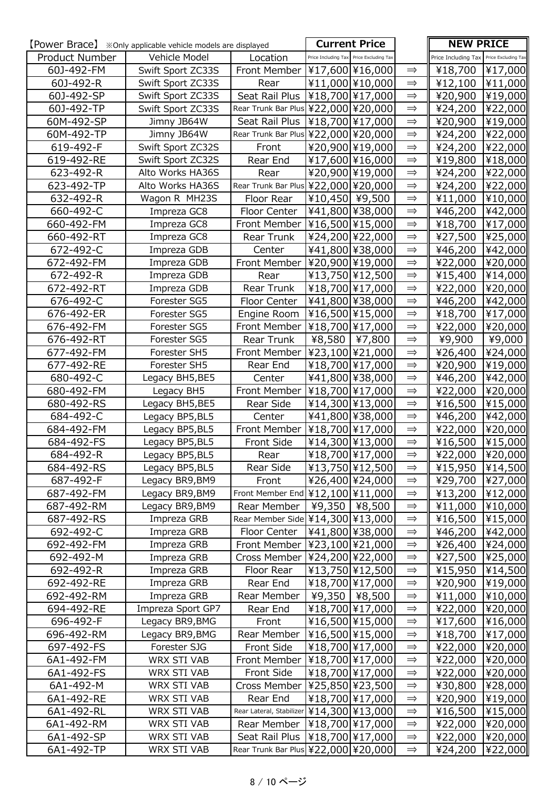|                | <b>[Power Brace]</b> *Only applicable vehicle models are displayed |                | <b>Current Price</b>                         |               | <b>NEW PRICE</b>                        |         |
|----------------|--------------------------------------------------------------------|----------------|----------------------------------------------|---------------|-----------------------------------------|---------|
| Product Number | Vehicle Model                                                      | Location       | Price Including Tax Price Excluding Tax      |               | Price Including Tax Price Excluding Tax |         |
| 60J-492-FM     | Swift Sport ZC33S                                                  |                | Front Member   ¥17,600   ¥16,000             | $\Rightarrow$ | ¥18,700                                 | ¥17,000 |
| 60J-492-R      | Swift Sport ZC33S                                                  | Rear           | ¥11,000 ¥10,000                              | $\Rightarrow$ | ¥12,100                                 | ¥11,000 |
| 60J-492-SP     | Swift Sport ZC33S                                                  | Seat Rail Plus | ¥18,700 ¥17,000                              | $\implies$    | ¥20,900                                 | ¥19,000 |
| 60J-492-TP     | Swift Sport ZC33S                                                  |                | Rear Trunk Bar Plus ¥22,000 ¥20,000          | $\Rightarrow$ | ¥24,200                                 | ¥22,000 |
| 60M-492-SP     | Jimny JB64W                                                        | Seat Rail Plus | ¥18,700 ¥17,000                              | $\Rightarrow$ | ¥20,900                                 | ¥19,000 |
| 60M-492-TP     | Jimny JB64W                                                        |                | Rear Trunk Bar Plus ¥22,000 ¥20,000          | $\implies$    | ¥24,200                                 | ¥22,000 |
| 619-492-F      | Swift Sport ZC32S                                                  | Front          | ¥20,900 ¥19,000                              | $\Rightarrow$ | ¥24,200                                 | ¥22,000 |
| 619-492-RE     | Swift Sport ZC32S                                                  | Rear End       | ¥17,600 ¥16,000                              | $\Rightarrow$ | ¥19,800                                 | ¥18,000 |
| 623-492-R      | Alto Works HA36S                                                   | Rear           | ¥20,900 ¥19,000                              | $\Rightarrow$ | ¥24,200                                 | ¥22,000 |
| 623-492-TP     | Alto Works HA36S                                                   |                | Rear Trunk Bar Plus ¥22,000 ¥20,000          | $\Rightarrow$ | ¥24,200                                 | ¥22,000 |
| 632-492-R      | Wagon R MH23S                                                      | Floor Rear     | ¥10,450 ¥9,500                               | $\Rightarrow$ | ¥11,000                                 | ¥10,000 |
| 660-492-C      | Impreza GC8                                                        | Floor Center   | ¥41,800 ¥38,000                              | $\Rightarrow$ | ¥46,200                                 | ¥42,000 |
| 660-492-FM     | Impreza GC8                                                        | Front Member   | ¥16,500 ¥15,000                              | $\Rightarrow$ | ¥18,700                                 | ¥17,000 |
| 660-492-RT     | Impreza GC8                                                        | Rear Trunk     | ¥24,200 ¥22,000                              | $\implies$    | ¥27,500                                 | ¥25,000 |
| 672-492-C      | Impreza GDB                                                        | Center         | ¥41,800 ¥38,000                              | $\Rightarrow$ | ¥46,200                                 | ¥42,000 |
| 672-492-FM     | Impreza GDB                                                        | Front Member   | ¥20,900 ¥19,000                              | $\Rightarrow$ | ¥22,000                                 | ¥20,000 |
| 672-492-R      | Impreza GDB                                                        | Rear           | ¥13,750 ¥12,500                              | $\Rightarrow$ | ¥15,400                                 | ¥14,000 |
| 672-492-RT     | Impreza GDB                                                        | Rear Trunk     | ¥18,700 ¥17,000                              | $\Rightarrow$ | ¥22,000                                 | ¥20,000 |
| 676-492-C      | Forester SG5                                                       | Floor Center   | ¥41,800 ¥38,000                              | $\Rightarrow$ | ¥46,200                                 | ¥42,000 |
| 676-492-ER     | Forester SG5                                                       | Engine Room    | ¥16,500 ¥15,000                              | $\Rightarrow$ | ¥18,700                                 | ¥17,000 |
| 676-492-FM     | Forester SG5                                                       | Front Member   | ¥18,700 ¥17,000                              | $\implies$    | ¥22,000                                 | ¥20,000 |
| 676-492-RT     | Forester SG5                                                       | Rear Trunk     | ¥8,580   ¥7,800                              | $\Rightarrow$ | ¥9,900                                  | ¥9,000  |
| 677-492-FM     | Forester SH5                                                       | Front Member   | ¥23,100 ¥21,000                              | $\Rightarrow$ | ¥26,400                                 | ¥24,000 |
| 677-492-RE     | Forester SH5                                                       | Rear End       | ¥18,700 ¥17,000                              | $\Rightarrow$ | ¥20,900                                 | ¥19,000 |
| 680-492-C      | Legacy BH5, BE5                                                    | Center         | ¥41,800 ¥38,000                              | $\Rightarrow$ | ¥46,200                                 | ¥42,000 |
| 680-492-FM     | Legacy BH5                                                         | Front Member   | ¥18,700 ¥17,000                              | $\implies$    | ¥22,000                                 | ¥20,000 |
| 680-492-RS     | Legacy BH5, BE5                                                    | Rear Side      | ¥14,300 ¥13,000                              | $\Rightarrow$ | ¥16,500                                 | ¥15,000 |
| 684-492-C      | Legacy BP5, BL5                                                    | Center         | ¥41,800 ¥38,000                              | $\Rightarrow$ | ¥46,200                                 | ¥42,000 |
| 684-492-FM     | Legacy BP5, BL5                                                    | Front Member   | ¥18,700 ¥17,000                              | $\Rightarrow$ | ¥22,000                                 | ¥20,000 |
| 684-492-FS     | Legacy BP5, BL5                                                    | Front Side     | ¥14,300 ¥13,000                              | $\implies$    | ¥16,500                                 | ¥15,000 |
| 684-492-R      | Legacy BP5, BL5                                                    | Rear           | ¥18,700 ¥17,000                              | $\Rightarrow$ | ¥22,000 ¥20,000                         |         |
| 684-492-RS     | Legacy BP5, BL5                                                    | Rear Side      | ¥13,750 ¥12,500                              | $\Rightarrow$ | ¥15,950                                 | ¥14,500 |
| 687-492-F      | Legacy BR9, BM9                                                    | Front          | ¥26,400 ¥24,000                              | $\Rightarrow$ | ¥29,700                                 | ¥27,000 |
| 687-492-FM     | Legacy BR9, BM9                                                    |                | Front Member End ¥12,100 ¥11,000             | $\Rightarrow$ | ¥13,200                                 | ¥12,000 |
| 687-492-RM     | Legacy BR9, BM9                                                    |                | Rear Member   ¥9,350   ¥8,500                | $\implies$    | ¥11,000                                 | ¥10,000 |
| 687-492-RS     | Impreza GRB                                                        |                | Rear Member Side ¥14,300 ¥13,000             | $\Rightarrow$ | ¥16,500                                 | ¥15,000 |
| 692-492-C      | Impreza GRB                                                        | Floor Center   | ¥41,800 ¥38,000                              | $\Rightarrow$ | ¥46,200                                 | ¥42,000 |
| 692-492-FM     | Impreza GRB                                                        | Front Member   | ¥23,100 ¥21,000                              | $\Rightarrow$ | ¥26,400                                 | ¥24,000 |
| 692-492-M      | Impreza GRB                                                        | Cross Member   | ¥24,200 ¥22,000                              | $\Rightarrow$ | ¥27,500                                 | ¥25,000 |
| 692-492-R      | Impreza GRB                                                        | Floor Rear     | ¥13,750 ¥12,500                              | $\Rightarrow$ | ¥15,950                                 | ¥14,500 |
| 692-492-RE     | Impreza GRB                                                        | Rear End       | ¥18,700 ¥17,000                              | $\Rightarrow$ | ¥20,900                                 | ¥19,000 |
| 692-492-RM     | Impreza GRB                                                        | Rear Member    | ¥9,350   ¥8,500                              | $\Rightarrow$ | ¥11,000                                 | ¥10,000 |
| 694-492-RE     | Impreza Sport GP7                                                  | Rear End       | ¥18,700 ¥17,000                              | $\Rightarrow$ | ¥22,000                                 | ¥20,000 |
| 696-492-F      | Legacy BR9, BMG                                                    | Front          | ¥16,500 ¥15,000                              | $\Rightarrow$ | ¥17,600                                 | ¥16,000 |
| 696-492-RM     | Legacy BR9, BMG                                                    | Rear Member    | ¥16,500 ¥15,000                              | $\Rightarrow$ | ¥18,700                                 | ¥17,000 |
| 697-492-FS     | Forester SJG                                                       | Front Side     | ¥18,700 ¥17,000                              | $\Rightarrow$ | ¥22,000                                 | ¥20,000 |
| 6A1-492-FM     | WRX STI VAB                                                        | Front Member   | ¥18,700 ¥17,000                              | $\Rightarrow$ | ¥22,000                                 | ¥20,000 |
| 6A1-492-FS     | WRX STI VAB                                                        | Front Side     | ¥18,700 ¥17,000                              | $\Rightarrow$ | ¥22,000                                 | ¥20,000 |
| 6A1-492-M      | WRX STI VAB                                                        | Cross Member   | ¥25,850 ¥23,500                              | $\Rightarrow$ | ¥30,800                                 | ¥28,000 |
| 6A1-492-RE     | WRX STI VAB                                                        | Rear End       | ¥18,700 ¥17,000                              | $\Rightarrow$ | ¥20,900                                 | ¥19,000 |
| 6A1-492-RL     | WRX STI VAB                                                        |                | Rear Lateral, Stabilizer   ¥14,300   ¥13,000 | $\Rightarrow$ | ¥16,500                                 | ¥15,000 |
| 6A1-492-RM     | WRX STI VAB                                                        | Rear Member    | ¥18,700 ¥17,000                              | $\Rightarrow$ | ¥22,000                                 | ¥20,000 |
| 6A1-492-SP     | WRX STI VAB                                                        | Seat Rail Plus | ¥18,700 ¥17,000                              | $\Rightarrow$ | ¥22,000                                 | ¥20,000 |
| 6A1-492-TP     | WRX STI VAB                                                        |                | Rear Trunk Bar Plus ¥22,000 ¥20,000          | $\Rightarrow$ | ¥24,200                                 | ¥22,000 |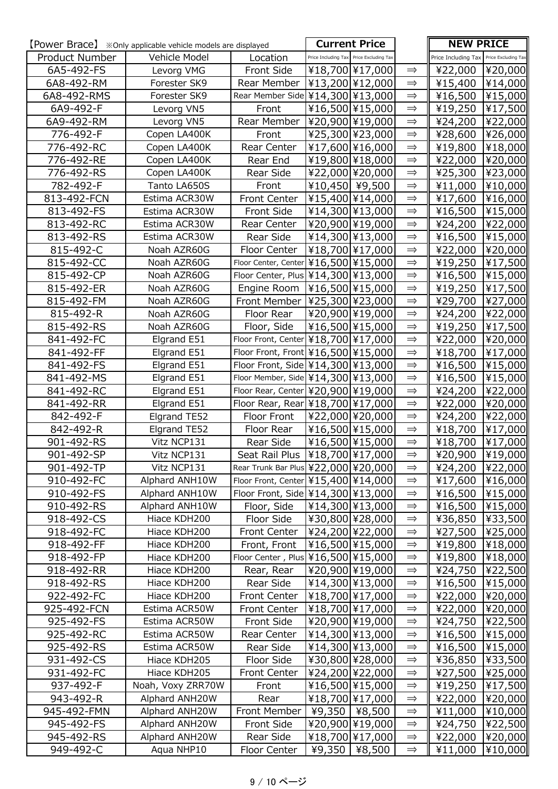| Product Number<br>Vehicle Model<br>Location<br>Price Including Tax Price Excluding Tax<br>Price Including Tax<br>Price Excluding Tax<br>6A5-492-FS<br>Front Side<br>¥18,700 ¥17,000<br>¥20,000<br>Levorg VMG<br>¥22,000<br>$\Rightarrow$<br>6A8-492-RM<br>¥13,200 ¥12,000<br>$\implies$<br>¥15,400<br>¥14,000<br>Forester SK9<br>Rear Member<br>Rear Member Side ¥14,300 ¥13,000<br>¥15,000<br>¥16,500<br>6A8-492-RMS<br>Forester SK9<br>$\implies$<br>¥16,500 ¥15,000<br>¥19,250<br>6A9-492-F<br>Levorg VN5<br>Front<br>$\Rightarrow$<br>¥20,900 ¥19,000<br>Rear Member<br>6A9-492-RM<br>Levorg VN5<br>$\implies$<br>¥24,200<br>¥25,300 ¥23,000<br>776-492-F<br>Copen LA400K<br>$\Rightarrow$<br>Front<br>¥28,600<br>Rear Center<br>¥17,600 ¥16,000<br>$\implies$<br>776-492-RC<br>Copen LA400K<br>¥19,800<br>776-492-RE<br>¥19,800 ¥18,000<br>$\Rightarrow$<br>¥22,000<br>Copen LA400K<br>Rear End<br>¥22,000 ¥20,000<br>Rear Side<br>$\implies$<br>¥25,300<br>776-492-RS<br>Copen LA400K<br>¥10,450 ¥9,500<br>782-492-F<br>$\implies$<br>¥11,000<br>Tanto LA650S<br>Front<br>813-492-FCN<br>Front Center<br>¥15,400 ¥14,000<br>$\implies$<br>¥17,600<br>Estima ACR30W<br>¥14,300 ¥13,000<br>813-492-FS<br>Estima ACR30W<br>Front Side<br>¥16,500<br>$\Rightarrow$<br>¥20,900 ¥19,000<br>813-492-RC<br>Estima ACR30W<br>Rear Center<br>¥24,200<br>$\implies$<br>¥14,300 ¥13,000<br>813-492-RS<br>Estima ACR30W<br>Rear Side<br>$\implies$<br>¥16,500<br>815-492-C<br>Floor Center<br>¥18,700 ¥17,000<br>$\Rightarrow$<br>Noah AZR60G<br>¥22,000<br>815-492-CC<br>¥16,500 ¥15,000<br>$\implies$<br>¥19,250<br>Noah AZR60G<br>Floor Center, Center<br>Floor Center, Plus   ¥14,300   ¥13,000  <br>815-492-CP<br>Noah AZR60G<br>$\implies$<br>¥16,500<br>¥16,500 ¥15,000<br>815-492-ER<br>$\Rightarrow$<br>¥19,250<br>Noah AZR60G<br>Engine Room<br>¥25,300 ¥23,000<br>Noah AZR60G<br>Front Member<br>815-492-FM<br>$\implies$<br>¥29,700<br>¥20,900 ¥19,000<br>815-492-R<br>Noah AZR60G<br>Floor Rear<br>$\Rightarrow$<br>¥24,200<br>¥16,500 ¥15,000<br>815-492-RS<br>Noah AZR60G<br>Floor, Side<br>¥19,250<br>$\implies$<br>841-492-FC<br>Floor Front, Center ¥18,700 ¥17,000<br>$\Rightarrow$<br>Elgrand E51<br>¥22,000<br>Elgrand E51<br>Floor Front, Front ¥16,500 ¥15,000<br>$\implies$<br>¥18,700<br>841-492-FF<br>Floor Front, Side   ¥14,300   ¥13,000<br>841-492-FS<br>Elgrand E51<br>$\implies$<br>¥16,500<br>Elgrand E51<br>Floor Member, Side ¥14,300 ¥13,000<br>841-492-MS<br>$\implies$<br>¥16,500<br>Elgrand E51<br>Floor Rear, Center ¥20,900 ¥19,000<br>$\implies$<br>841-492-RC<br>¥24,200<br>Elgrand E51<br>Floor Rear, Rear ¥18,700 ¥17,000<br>841-492-RR<br>¥22,000<br>$\Rightarrow$<br>¥22,000 ¥20,000<br>842-492-F<br>Elgrand TE52<br>¥24,200<br>Floor Front<br>$\Rightarrow$<br>¥16,500 ¥15,000<br>842-492-R<br>Elgrand TE52<br>Floor Rear<br>¥18,700<br>$\Rightarrow$<br>Vitz NCP131<br>Rear Side<br>¥16,500 ¥15,000<br>$\implies$<br>¥18,700<br>901-492-RS<br>Seat Rail Plus   ¥18,700   ¥17,000  <br>$\Rightarrow$<br>Vitz NCP131<br>¥20,900<br>901-492-SP<br>Rear Trunk Bar Plus ¥22,000 ¥20,000<br>901-492-TP<br>Vitz NCP131<br>$\Rightarrow$<br>¥24,200<br>Alphard ANH10W<br>Floor Front, Center ¥15,400 ¥14,000<br>910-492-FC<br>$\Rightarrow$<br>910-492-FS<br>Floor Front, Side   ¥14,300   ¥13,000  <br>$\implies$<br>¥16,500<br>Alphard ANH10W<br>Floor, Side<br>¥14,300 ¥13,000<br>¥16,500<br>Alphard ANH10W<br>910-492-RS<br>$\implies$<br>Hiace KDH200<br>Floor Side<br>¥30,800 ¥28,000<br>918-492-CS<br>$\Rightarrow$<br>¥36,850<br>Hiace KDH200<br>Front Center<br>¥24,200 ¥22,000<br>¥27,500<br>918-492-FC<br>$\implies$<br>¥16,500 ¥15,000<br>918-492-FF<br>Hiace KDH200<br>Front, Front<br>¥19,800<br>$\Rightarrow$<br>Floor Center, Plus   ¥16,500   ¥15,000  <br>Hiace KDH200<br>$\implies$<br>¥19,800<br>918-492-FP<br>$\Rightarrow$<br>Hiace KDH200<br>¥20,900 \\\$19,000<br>¥24,750<br>918-492-RR<br>Rear, Rear<br>Hiace KDH200<br>¥14,300 ¥13,000<br>Rear Side<br>$\implies$<br>¥16,500<br>918-492-RS<br>Hiace KDH200<br>Front Center<br>¥18,700 ¥17,000<br>$\implies$<br>¥22,000<br>922-492-FC<br>¥18,700 ¥17,000<br>925-492-FCN<br>Estima ACR50W<br>Front Center<br>¥22,000<br>$\implies$<br>Front Side<br>¥20,900 ¥19,000<br>925-492-FS<br>Estima ACR50W<br>$\implies$<br>¥24,750<br>Estima ACR50W<br>¥14,300 ¥13,000<br>925-492-RC<br>Rear Center<br>$\Rightarrow$<br>¥16,500<br>¥14,300 ¥13,000<br>Rear Side<br>¥16,500<br>925-492-RS<br>Estima ACR50W<br>$\Rightarrow$<br>Floor Side<br>931-492-CS<br>Hiace KDH205<br>¥30,800 ¥28,000<br>$\implies$<br>¥36,850<br>Hiace KDH205<br><b>Front Center</b><br>¥24,200 ¥22,000<br>$\implies$<br>¥27,500<br>931-492-FC<br>¥19,250<br>Noah, Voxy ZRR70W<br>Front<br>¥16,500 ¥15,000<br>937-492-F<br>$\implies$<br>Alphard ANH20W<br>¥18,700 ¥17,000<br>¥22,000<br>943-492-R<br>Rear<br>$\Rightarrow$<br>¥9,350   ¥8,500<br>945-492-FMN<br>Alphard ANH20W<br>Front Member<br>¥11,000<br>$\Rightarrow$<br>Front Side<br>¥20,900 ¥19,000<br>945-492-FS<br>Alphard ANH20W<br>¥24,750<br>$\implies$<br>Rear Side<br>¥18,700 ¥17,000<br>¥22,000<br>945-492-RS<br>Alphard ANH20W<br>$\implies$ |           |            |              | <b>Current Price</b> |               | <b>NEW PRICE</b> |         |
|----------------------------------------------------------------------------------------------------------------------------------------------------------------------------------------------------------------------------------------------------------------------------------------------------------------------------------------------------------------------------------------------------------------------------------------------------------------------------------------------------------------------------------------------------------------------------------------------------------------------------------------------------------------------------------------------------------------------------------------------------------------------------------------------------------------------------------------------------------------------------------------------------------------------------------------------------------------------------------------------------------------------------------------------------------------------------------------------------------------------------------------------------------------------------------------------------------------------------------------------------------------------------------------------------------------------------------------------------------------------------------------------------------------------------------------------------------------------------------------------------------------------------------------------------------------------------------------------------------------------------------------------------------------------------------------------------------------------------------------------------------------------------------------------------------------------------------------------------------------------------------------------------------------------------------------------------------------------------------------------------------------------------------------------------------------------------------------------------------------------------------------------------------------------------------------------------------------------------------------------------------------------------------------------------------------------------------------------------------------------------------------------------------------------------------------------------------------------------------------------------------------------------------------------------------------------------------------------------------------------------------------------------------------------------------------------------------------------------------------------------------------------------------------------------------------------------------------------------------------------------------------------------------------------------------------------------------------------------------------------------------------------------------------------------------------------------------------------------------------------------------------------------------------------------------------------------------------------------------------------------------------------------------------------------------------------------------------------------------------------------------------------------------------------------------------------------------------------------------------------------------------------------------------------------------------------------------------------------------------------------------------------------------------------------------------------------------------------------------------------------------------------------------------------------------------------------------------------------------------------------------------------------------------------------------------------------------------------------------------------------------------------------------------------------------------------------------------------------------------------------------------------------------------------------------------------------------------------------------------------------------------------------------------------------------------------------------------------------------------------------------------------------------------------------------------------------------------------------------------------------------------------------------------------------------------------------------------------------------------------------------------------------------------------------------------------------------------------------------------------------------------------------------------------------------------------------------------------------------------------------------------------------------------------------------------------------------------------------------------------------------------------------------------------------------------------------------------------------------------------------------------------------------------------------------------|-----------|------------|--------------|----------------------|---------------|------------------|---------|
|                                                                                                                                                                                                                                                                                                                                                                                                                                                                                                                                                                                                                                                                                                                                                                                                                                                                                                                                                                                                                                                                                                                                                                                                                                                                                                                                                                                                                                                                                                                                                                                                                                                                                                                                                                                                                                                                                                                                                                                                                                                                                                                                                                                                                                                                                                                                                                                                                                                                                                                                                                                                                                                                                                                                                                                                                                                                                                                                                                                                                                                                                                                                                                                                                                                                                                                                                                                                                                                                                                                                                                                                                                                                                                                                                                                                                                                                                                                                                                                                                                                                                                                                                                                                                                                                                                                                                                                                                                                                                                                                                                                                                                                                                                                                                                                                                                                                                                                                                                                                                                                                                                                                                                                        |           |            |              |                      |               |                  |         |
|                                                                                                                                                                                                                                                                                                                                                                                                                                                                                                                                                                                                                                                                                                                                                                                                                                                                                                                                                                                                                                                                                                                                                                                                                                                                                                                                                                                                                                                                                                                                                                                                                                                                                                                                                                                                                                                                                                                                                                                                                                                                                                                                                                                                                                                                                                                                                                                                                                                                                                                                                                                                                                                                                                                                                                                                                                                                                                                                                                                                                                                                                                                                                                                                                                                                                                                                                                                                                                                                                                                                                                                                                                                                                                                                                                                                                                                                                                                                                                                                                                                                                                                                                                                                                                                                                                                                                                                                                                                                                                                                                                                                                                                                                                                                                                                                                                                                                                                                                                                                                                                                                                                                                                                        |           |            |              |                      |               |                  |         |
|                                                                                                                                                                                                                                                                                                                                                                                                                                                                                                                                                                                                                                                                                                                                                                                                                                                                                                                                                                                                                                                                                                                                                                                                                                                                                                                                                                                                                                                                                                                                                                                                                                                                                                                                                                                                                                                                                                                                                                                                                                                                                                                                                                                                                                                                                                                                                                                                                                                                                                                                                                                                                                                                                                                                                                                                                                                                                                                                                                                                                                                                                                                                                                                                                                                                                                                                                                                                                                                                                                                                                                                                                                                                                                                                                                                                                                                                                                                                                                                                                                                                                                                                                                                                                                                                                                                                                                                                                                                                                                                                                                                                                                                                                                                                                                                                                                                                                                                                                                                                                                                                                                                                                                                        |           |            |              |                      |               |                  |         |
| ¥17,500<br>¥22,000<br>¥26,000<br>¥18,000<br>¥20,000<br>¥23,000<br>¥10,000<br>¥16,000<br>¥15,000<br>¥22,000<br>¥15,000<br>¥20,000<br>¥17,500<br>¥15,000<br>¥17,500<br>¥27,000<br>¥22,000<br>¥17,500<br>¥20,000<br>¥17,000<br>¥15,000<br>¥15,000<br>¥22,000<br>¥20,000<br>¥22,000<br>¥17,000<br>¥17,000<br>¥19,000<br>¥22,000<br>¥17,600  ¥16,000 <br>¥15,000<br>¥15,000<br>¥33,500<br>¥25,000<br>¥18,000<br>¥18,000<br>¥22,500<br>¥15,000<br>¥20,000<br>¥20,000<br>¥22,500<br>¥15,000<br>¥15,000<br>¥33,500<br>¥25,000<br>¥17,500<br>¥20,000<br>¥10,000<br>¥22,500<br>¥20,000                                                                                                                                                                                                                                                                                                                                                                                                                                                                                                                                                                                                                                                                                                                                                                                                                                                                                                                                                                                                                                                                                                                                                                                                                                                                                                                                                                                                                                                                                                                                                                                                                                                                                                                                                                                                                                                                                                                                                                                                                                                                                                                                                                                                                                                                                                                                                                                                                                                                                                                                                                                                                                                                                                                                                                                                                                                                                                                                                                                                                                                                                                                                                                                                                                                                                                                                                                                                                                                                                                                                                                                                                                                                                                                                                                                                                                                                                                                                                                                                                                                                                                                                                                                                                                                                                                                                                                                                                                                                                                                                                                                                           |           |            |              |                      |               |                  |         |
|                                                                                                                                                                                                                                                                                                                                                                                                                                                                                                                                                                                                                                                                                                                                                                                                                                                                                                                                                                                                                                                                                                                                                                                                                                                                                                                                                                                                                                                                                                                                                                                                                                                                                                                                                                                                                                                                                                                                                                                                                                                                                                                                                                                                                                                                                                                                                                                                                                                                                                                                                                                                                                                                                                                                                                                                                                                                                                                                                                                                                                                                                                                                                                                                                                                                                                                                                                                                                                                                                                                                                                                                                                                                                                                                                                                                                                                                                                                                                                                                                                                                                                                                                                                                                                                                                                                                                                                                                                                                                                                                                                                                                                                                                                                                                                                                                                                                                                                                                                                                                                                                                                                                                                                        |           |            |              |                      |               |                  |         |
|                                                                                                                                                                                                                                                                                                                                                                                                                                                                                                                                                                                                                                                                                                                                                                                                                                                                                                                                                                                                                                                                                                                                                                                                                                                                                                                                                                                                                                                                                                                                                                                                                                                                                                                                                                                                                                                                                                                                                                                                                                                                                                                                                                                                                                                                                                                                                                                                                                                                                                                                                                                                                                                                                                                                                                                                                                                                                                                                                                                                                                                                                                                                                                                                                                                                                                                                                                                                                                                                                                                                                                                                                                                                                                                                                                                                                                                                                                                                                                                                                                                                                                                                                                                                                                                                                                                                                                                                                                                                                                                                                                                                                                                                                                                                                                                                                                                                                                                                                                                                                                                                                                                                                                                        |           |            |              |                      |               |                  |         |
|                                                                                                                                                                                                                                                                                                                                                                                                                                                                                                                                                                                                                                                                                                                                                                                                                                                                                                                                                                                                                                                                                                                                                                                                                                                                                                                                                                                                                                                                                                                                                                                                                                                                                                                                                                                                                                                                                                                                                                                                                                                                                                                                                                                                                                                                                                                                                                                                                                                                                                                                                                                                                                                                                                                                                                                                                                                                                                                                                                                                                                                                                                                                                                                                                                                                                                                                                                                                                                                                                                                                                                                                                                                                                                                                                                                                                                                                                                                                                                                                                                                                                                                                                                                                                                                                                                                                                                                                                                                                                                                                                                                                                                                                                                                                                                                                                                                                                                                                                                                                                                                                                                                                                                                        |           |            |              |                      |               |                  |         |
|                                                                                                                                                                                                                                                                                                                                                                                                                                                                                                                                                                                                                                                                                                                                                                                                                                                                                                                                                                                                                                                                                                                                                                                                                                                                                                                                                                                                                                                                                                                                                                                                                                                                                                                                                                                                                                                                                                                                                                                                                                                                                                                                                                                                                                                                                                                                                                                                                                                                                                                                                                                                                                                                                                                                                                                                                                                                                                                                                                                                                                                                                                                                                                                                                                                                                                                                                                                                                                                                                                                                                                                                                                                                                                                                                                                                                                                                                                                                                                                                                                                                                                                                                                                                                                                                                                                                                                                                                                                                                                                                                                                                                                                                                                                                                                                                                                                                                                                                                                                                                                                                                                                                                                                        |           |            |              |                      |               |                  |         |
|                                                                                                                                                                                                                                                                                                                                                                                                                                                                                                                                                                                                                                                                                                                                                                                                                                                                                                                                                                                                                                                                                                                                                                                                                                                                                                                                                                                                                                                                                                                                                                                                                                                                                                                                                                                                                                                                                                                                                                                                                                                                                                                                                                                                                                                                                                                                                                                                                                                                                                                                                                                                                                                                                                                                                                                                                                                                                                                                                                                                                                                                                                                                                                                                                                                                                                                                                                                                                                                                                                                                                                                                                                                                                                                                                                                                                                                                                                                                                                                                                                                                                                                                                                                                                                                                                                                                                                                                                                                                                                                                                                                                                                                                                                                                                                                                                                                                                                                                                                                                                                                                                                                                                                                        |           |            |              |                      |               |                  |         |
|                                                                                                                                                                                                                                                                                                                                                                                                                                                                                                                                                                                                                                                                                                                                                                                                                                                                                                                                                                                                                                                                                                                                                                                                                                                                                                                                                                                                                                                                                                                                                                                                                                                                                                                                                                                                                                                                                                                                                                                                                                                                                                                                                                                                                                                                                                                                                                                                                                                                                                                                                                                                                                                                                                                                                                                                                                                                                                                                                                                                                                                                                                                                                                                                                                                                                                                                                                                                                                                                                                                                                                                                                                                                                                                                                                                                                                                                                                                                                                                                                                                                                                                                                                                                                                                                                                                                                                                                                                                                                                                                                                                                                                                                                                                                                                                                                                                                                                                                                                                                                                                                                                                                                                                        |           |            |              |                      |               |                  |         |
|                                                                                                                                                                                                                                                                                                                                                                                                                                                                                                                                                                                                                                                                                                                                                                                                                                                                                                                                                                                                                                                                                                                                                                                                                                                                                                                                                                                                                                                                                                                                                                                                                                                                                                                                                                                                                                                                                                                                                                                                                                                                                                                                                                                                                                                                                                                                                                                                                                                                                                                                                                                                                                                                                                                                                                                                                                                                                                                                                                                                                                                                                                                                                                                                                                                                                                                                                                                                                                                                                                                                                                                                                                                                                                                                                                                                                                                                                                                                                                                                                                                                                                                                                                                                                                                                                                                                                                                                                                                                                                                                                                                                                                                                                                                                                                                                                                                                                                                                                                                                                                                                                                                                                                                        |           |            |              |                      |               |                  |         |
|                                                                                                                                                                                                                                                                                                                                                                                                                                                                                                                                                                                                                                                                                                                                                                                                                                                                                                                                                                                                                                                                                                                                                                                                                                                                                                                                                                                                                                                                                                                                                                                                                                                                                                                                                                                                                                                                                                                                                                                                                                                                                                                                                                                                                                                                                                                                                                                                                                                                                                                                                                                                                                                                                                                                                                                                                                                                                                                                                                                                                                                                                                                                                                                                                                                                                                                                                                                                                                                                                                                                                                                                                                                                                                                                                                                                                                                                                                                                                                                                                                                                                                                                                                                                                                                                                                                                                                                                                                                                                                                                                                                                                                                                                                                                                                                                                                                                                                                                                                                                                                                                                                                                                                                        |           |            |              |                      |               |                  |         |
|                                                                                                                                                                                                                                                                                                                                                                                                                                                                                                                                                                                                                                                                                                                                                                                                                                                                                                                                                                                                                                                                                                                                                                                                                                                                                                                                                                                                                                                                                                                                                                                                                                                                                                                                                                                                                                                                                                                                                                                                                                                                                                                                                                                                                                                                                                                                                                                                                                                                                                                                                                                                                                                                                                                                                                                                                                                                                                                                                                                                                                                                                                                                                                                                                                                                                                                                                                                                                                                                                                                                                                                                                                                                                                                                                                                                                                                                                                                                                                                                                                                                                                                                                                                                                                                                                                                                                                                                                                                                                                                                                                                                                                                                                                                                                                                                                                                                                                                                                                                                                                                                                                                                                                                        |           |            |              |                      |               |                  |         |
|                                                                                                                                                                                                                                                                                                                                                                                                                                                                                                                                                                                                                                                                                                                                                                                                                                                                                                                                                                                                                                                                                                                                                                                                                                                                                                                                                                                                                                                                                                                                                                                                                                                                                                                                                                                                                                                                                                                                                                                                                                                                                                                                                                                                                                                                                                                                                                                                                                                                                                                                                                                                                                                                                                                                                                                                                                                                                                                                                                                                                                                                                                                                                                                                                                                                                                                                                                                                                                                                                                                                                                                                                                                                                                                                                                                                                                                                                                                                                                                                                                                                                                                                                                                                                                                                                                                                                                                                                                                                                                                                                                                                                                                                                                                                                                                                                                                                                                                                                                                                                                                                                                                                                                                        |           |            |              |                      |               |                  |         |
|                                                                                                                                                                                                                                                                                                                                                                                                                                                                                                                                                                                                                                                                                                                                                                                                                                                                                                                                                                                                                                                                                                                                                                                                                                                                                                                                                                                                                                                                                                                                                                                                                                                                                                                                                                                                                                                                                                                                                                                                                                                                                                                                                                                                                                                                                                                                                                                                                                                                                                                                                                                                                                                                                                                                                                                                                                                                                                                                                                                                                                                                                                                                                                                                                                                                                                                                                                                                                                                                                                                                                                                                                                                                                                                                                                                                                                                                                                                                                                                                                                                                                                                                                                                                                                                                                                                                                                                                                                                                                                                                                                                                                                                                                                                                                                                                                                                                                                                                                                                                                                                                                                                                                                                        |           |            |              |                      |               |                  |         |
|                                                                                                                                                                                                                                                                                                                                                                                                                                                                                                                                                                                                                                                                                                                                                                                                                                                                                                                                                                                                                                                                                                                                                                                                                                                                                                                                                                                                                                                                                                                                                                                                                                                                                                                                                                                                                                                                                                                                                                                                                                                                                                                                                                                                                                                                                                                                                                                                                                                                                                                                                                                                                                                                                                                                                                                                                                                                                                                                                                                                                                                                                                                                                                                                                                                                                                                                                                                                                                                                                                                                                                                                                                                                                                                                                                                                                                                                                                                                                                                                                                                                                                                                                                                                                                                                                                                                                                                                                                                                                                                                                                                                                                                                                                                                                                                                                                                                                                                                                                                                                                                                                                                                                                                        |           |            |              |                      |               |                  |         |
|                                                                                                                                                                                                                                                                                                                                                                                                                                                                                                                                                                                                                                                                                                                                                                                                                                                                                                                                                                                                                                                                                                                                                                                                                                                                                                                                                                                                                                                                                                                                                                                                                                                                                                                                                                                                                                                                                                                                                                                                                                                                                                                                                                                                                                                                                                                                                                                                                                                                                                                                                                                                                                                                                                                                                                                                                                                                                                                                                                                                                                                                                                                                                                                                                                                                                                                                                                                                                                                                                                                                                                                                                                                                                                                                                                                                                                                                                                                                                                                                                                                                                                                                                                                                                                                                                                                                                                                                                                                                                                                                                                                                                                                                                                                                                                                                                                                                                                                                                                                                                                                                                                                                                                                        |           |            |              |                      |               |                  |         |
|                                                                                                                                                                                                                                                                                                                                                                                                                                                                                                                                                                                                                                                                                                                                                                                                                                                                                                                                                                                                                                                                                                                                                                                                                                                                                                                                                                                                                                                                                                                                                                                                                                                                                                                                                                                                                                                                                                                                                                                                                                                                                                                                                                                                                                                                                                                                                                                                                                                                                                                                                                                                                                                                                                                                                                                                                                                                                                                                                                                                                                                                                                                                                                                                                                                                                                                                                                                                                                                                                                                                                                                                                                                                                                                                                                                                                                                                                                                                                                                                                                                                                                                                                                                                                                                                                                                                                                                                                                                                                                                                                                                                                                                                                                                                                                                                                                                                                                                                                                                                                                                                                                                                                                                        |           |            |              |                      |               |                  |         |
|                                                                                                                                                                                                                                                                                                                                                                                                                                                                                                                                                                                                                                                                                                                                                                                                                                                                                                                                                                                                                                                                                                                                                                                                                                                                                                                                                                                                                                                                                                                                                                                                                                                                                                                                                                                                                                                                                                                                                                                                                                                                                                                                                                                                                                                                                                                                                                                                                                                                                                                                                                                                                                                                                                                                                                                                                                                                                                                                                                                                                                                                                                                                                                                                                                                                                                                                                                                                                                                                                                                                                                                                                                                                                                                                                                                                                                                                                                                                                                                                                                                                                                                                                                                                                                                                                                                                                                                                                                                                                                                                                                                                                                                                                                                                                                                                                                                                                                                                                                                                                                                                                                                                                                                        |           |            |              |                      |               |                  |         |
|                                                                                                                                                                                                                                                                                                                                                                                                                                                                                                                                                                                                                                                                                                                                                                                                                                                                                                                                                                                                                                                                                                                                                                                                                                                                                                                                                                                                                                                                                                                                                                                                                                                                                                                                                                                                                                                                                                                                                                                                                                                                                                                                                                                                                                                                                                                                                                                                                                                                                                                                                                                                                                                                                                                                                                                                                                                                                                                                                                                                                                                                                                                                                                                                                                                                                                                                                                                                                                                                                                                                                                                                                                                                                                                                                                                                                                                                                                                                                                                                                                                                                                                                                                                                                                                                                                                                                                                                                                                                                                                                                                                                                                                                                                                                                                                                                                                                                                                                                                                                                                                                                                                                                                                        |           |            |              |                      |               |                  |         |
|                                                                                                                                                                                                                                                                                                                                                                                                                                                                                                                                                                                                                                                                                                                                                                                                                                                                                                                                                                                                                                                                                                                                                                                                                                                                                                                                                                                                                                                                                                                                                                                                                                                                                                                                                                                                                                                                                                                                                                                                                                                                                                                                                                                                                                                                                                                                                                                                                                                                                                                                                                                                                                                                                                                                                                                                                                                                                                                                                                                                                                                                                                                                                                                                                                                                                                                                                                                                                                                                                                                                                                                                                                                                                                                                                                                                                                                                                                                                                                                                                                                                                                                                                                                                                                                                                                                                                                                                                                                                                                                                                                                                                                                                                                                                                                                                                                                                                                                                                                                                                                                                                                                                                                                        |           |            |              |                      |               |                  |         |
|                                                                                                                                                                                                                                                                                                                                                                                                                                                                                                                                                                                                                                                                                                                                                                                                                                                                                                                                                                                                                                                                                                                                                                                                                                                                                                                                                                                                                                                                                                                                                                                                                                                                                                                                                                                                                                                                                                                                                                                                                                                                                                                                                                                                                                                                                                                                                                                                                                                                                                                                                                                                                                                                                                                                                                                                                                                                                                                                                                                                                                                                                                                                                                                                                                                                                                                                                                                                                                                                                                                                                                                                                                                                                                                                                                                                                                                                                                                                                                                                                                                                                                                                                                                                                                                                                                                                                                                                                                                                                                                                                                                                                                                                                                                                                                                                                                                                                                                                                                                                                                                                                                                                                                                        |           |            |              |                      |               |                  |         |
|                                                                                                                                                                                                                                                                                                                                                                                                                                                                                                                                                                                                                                                                                                                                                                                                                                                                                                                                                                                                                                                                                                                                                                                                                                                                                                                                                                                                                                                                                                                                                                                                                                                                                                                                                                                                                                                                                                                                                                                                                                                                                                                                                                                                                                                                                                                                                                                                                                                                                                                                                                                                                                                                                                                                                                                                                                                                                                                                                                                                                                                                                                                                                                                                                                                                                                                                                                                                                                                                                                                                                                                                                                                                                                                                                                                                                                                                                                                                                                                                                                                                                                                                                                                                                                                                                                                                                                                                                                                                                                                                                                                                                                                                                                                                                                                                                                                                                                                                                                                                                                                                                                                                                                                        |           |            |              |                      |               |                  |         |
|                                                                                                                                                                                                                                                                                                                                                                                                                                                                                                                                                                                                                                                                                                                                                                                                                                                                                                                                                                                                                                                                                                                                                                                                                                                                                                                                                                                                                                                                                                                                                                                                                                                                                                                                                                                                                                                                                                                                                                                                                                                                                                                                                                                                                                                                                                                                                                                                                                                                                                                                                                                                                                                                                                                                                                                                                                                                                                                                                                                                                                                                                                                                                                                                                                                                                                                                                                                                                                                                                                                                                                                                                                                                                                                                                                                                                                                                                                                                                                                                                                                                                                                                                                                                                                                                                                                                                                                                                                                                                                                                                                                                                                                                                                                                                                                                                                                                                                                                                                                                                                                                                                                                                                                        |           |            |              |                      |               |                  |         |
|                                                                                                                                                                                                                                                                                                                                                                                                                                                                                                                                                                                                                                                                                                                                                                                                                                                                                                                                                                                                                                                                                                                                                                                                                                                                                                                                                                                                                                                                                                                                                                                                                                                                                                                                                                                                                                                                                                                                                                                                                                                                                                                                                                                                                                                                                                                                                                                                                                                                                                                                                                                                                                                                                                                                                                                                                                                                                                                                                                                                                                                                                                                                                                                                                                                                                                                                                                                                                                                                                                                                                                                                                                                                                                                                                                                                                                                                                                                                                                                                                                                                                                                                                                                                                                                                                                                                                                                                                                                                                                                                                                                                                                                                                                                                                                                                                                                                                                                                                                                                                                                                                                                                                                                        |           |            |              |                      |               |                  |         |
|                                                                                                                                                                                                                                                                                                                                                                                                                                                                                                                                                                                                                                                                                                                                                                                                                                                                                                                                                                                                                                                                                                                                                                                                                                                                                                                                                                                                                                                                                                                                                                                                                                                                                                                                                                                                                                                                                                                                                                                                                                                                                                                                                                                                                                                                                                                                                                                                                                                                                                                                                                                                                                                                                                                                                                                                                                                                                                                                                                                                                                                                                                                                                                                                                                                                                                                                                                                                                                                                                                                                                                                                                                                                                                                                                                                                                                                                                                                                                                                                                                                                                                                                                                                                                                                                                                                                                                                                                                                                                                                                                                                                                                                                                                                                                                                                                                                                                                                                                                                                                                                                                                                                                                                        |           |            |              |                      |               |                  |         |
|                                                                                                                                                                                                                                                                                                                                                                                                                                                                                                                                                                                                                                                                                                                                                                                                                                                                                                                                                                                                                                                                                                                                                                                                                                                                                                                                                                                                                                                                                                                                                                                                                                                                                                                                                                                                                                                                                                                                                                                                                                                                                                                                                                                                                                                                                                                                                                                                                                                                                                                                                                                                                                                                                                                                                                                                                                                                                                                                                                                                                                                                                                                                                                                                                                                                                                                                                                                                                                                                                                                                                                                                                                                                                                                                                                                                                                                                                                                                                                                                                                                                                                                                                                                                                                                                                                                                                                                                                                                                                                                                                                                                                                                                                                                                                                                                                                                                                                                                                                                                                                                                                                                                                                                        |           |            |              |                      |               |                  |         |
|                                                                                                                                                                                                                                                                                                                                                                                                                                                                                                                                                                                                                                                                                                                                                                                                                                                                                                                                                                                                                                                                                                                                                                                                                                                                                                                                                                                                                                                                                                                                                                                                                                                                                                                                                                                                                                                                                                                                                                                                                                                                                                                                                                                                                                                                                                                                                                                                                                                                                                                                                                                                                                                                                                                                                                                                                                                                                                                                                                                                                                                                                                                                                                                                                                                                                                                                                                                                                                                                                                                                                                                                                                                                                                                                                                                                                                                                                                                                                                                                                                                                                                                                                                                                                                                                                                                                                                                                                                                                                                                                                                                                                                                                                                                                                                                                                                                                                                                                                                                                                                                                                                                                                                                        |           |            |              |                      |               |                  |         |
|                                                                                                                                                                                                                                                                                                                                                                                                                                                                                                                                                                                                                                                                                                                                                                                                                                                                                                                                                                                                                                                                                                                                                                                                                                                                                                                                                                                                                                                                                                                                                                                                                                                                                                                                                                                                                                                                                                                                                                                                                                                                                                                                                                                                                                                                                                                                                                                                                                                                                                                                                                                                                                                                                                                                                                                                                                                                                                                                                                                                                                                                                                                                                                                                                                                                                                                                                                                                                                                                                                                                                                                                                                                                                                                                                                                                                                                                                                                                                                                                                                                                                                                                                                                                                                                                                                                                                                                                                                                                                                                                                                                                                                                                                                                                                                                                                                                                                                                                                                                                                                                                                                                                                                                        |           |            |              |                      |               |                  |         |
|                                                                                                                                                                                                                                                                                                                                                                                                                                                                                                                                                                                                                                                                                                                                                                                                                                                                                                                                                                                                                                                                                                                                                                                                                                                                                                                                                                                                                                                                                                                                                                                                                                                                                                                                                                                                                                                                                                                                                                                                                                                                                                                                                                                                                                                                                                                                                                                                                                                                                                                                                                                                                                                                                                                                                                                                                                                                                                                                                                                                                                                                                                                                                                                                                                                                                                                                                                                                                                                                                                                                                                                                                                                                                                                                                                                                                                                                                                                                                                                                                                                                                                                                                                                                                                                                                                                                                                                                                                                                                                                                                                                                                                                                                                                                                                                                                                                                                                                                                                                                                                                                                                                                                                                        |           |            |              |                      |               |                  |         |
|                                                                                                                                                                                                                                                                                                                                                                                                                                                                                                                                                                                                                                                                                                                                                                                                                                                                                                                                                                                                                                                                                                                                                                                                                                                                                                                                                                                                                                                                                                                                                                                                                                                                                                                                                                                                                                                                                                                                                                                                                                                                                                                                                                                                                                                                                                                                                                                                                                                                                                                                                                                                                                                                                                                                                                                                                                                                                                                                                                                                                                                                                                                                                                                                                                                                                                                                                                                                                                                                                                                                                                                                                                                                                                                                                                                                                                                                                                                                                                                                                                                                                                                                                                                                                                                                                                                                                                                                                                                                                                                                                                                                                                                                                                                                                                                                                                                                                                                                                                                                                                                                                                                                                                                        |           |            |              |                      |               |                  |         |
|                                                                                                                                                                                                                                                                                                                                                                                                                                                                                                                                                                                                                                                                                                                                                                                                                                                                                                                                                                                                                                                                                                                                                                                                                                                                                                                                                                                                                                                                                                                                                                                                                                                                                                                                                                                                                                                                                                                                                                                                                                                                                                                                                                                                                                                                                                                                                                                                                                                                                                                                                                                                                                                                                                                                                                                                                                                                                                                                                                                                                                                                                                                                                                                                                                                                                                                                                                                                                                                                                                                                                                                                                                                                                                                                                                                                                                                                                                                                                                                                                                                                                                                                                                                                                                                                                                                                                                                                                                                                                                                                                                                                                                                                                                                                                                                                                                                                                                                                                                                                                                                                                                                                                                                        |           |            |              |                      |               |                  |         |
|                                                                                                                                                                                                                                                                                                                                                                                                                                                                                                                                                                                                                                                                                                                                                                                                                                                                                                                                                                                                                                                                                                                                                                                                                                                                                                                                                                                                                                                                                                                                                                                                                                                                                                                                                                                                                                                                                                                                                                                                                                                                                                                                                                                                                                                                                                                                                                                                                                                                                                                                                                                                                                                                                                                                                                                                                                                                                                                                                                                                                                                                                                                                                                                                                                                                                                                                                                                                                                                                                                                                                                                                                                                                                                                                                                                                                                                                                                                                                                                                                                                                                                                                                                                                                                                                                                                                                                                                                                                                                                                                                                                                                                                                                                                                                                                                                                                                                                                                                                                                                                                                                                                                                                                        |           |            |              |                      |               |                  |         |
|                                                                                                                                                                                                                                                                                                                                                                                                                                                                                                                                                                                                                                                                                                                                                                                                                                                                                                                                                                                                                                                                                                                                                                                                                                                                                                                                                                                                                                                                                                                                                                                                                                                                                                                                                                                                                                                                                                                                                                                                                                                                                                                                                                                                                                                                                                                                                                                                                                                                                                                                                                                                                                                                                                                                                                                                                                                                                                                                                                                                                                                                                                                                                                                                                                                                                                                                                                                                                                                                                                                                                                                                                                                                                                                                                                                                                                                                                                                                                                                                                                                                                                                                                                                                                                                                                                                                                                                                                                                                                                                                                                                                                                                                                                                                                                                                                                                                                                                                                                                                                                                                                                                                                                                        |           |            |              |                      |               |                  |         |
|                                                                                                                                                                                                                                                                                                                                                                                                                                                                                                                                                                                                                                                                                                                                                                                                                                                                                                                                                                                                                                                                                                                                                                                                                                                                                                                                                                                                                                                                                                                                                                                                                                                                                                                                                                                                                                                                                                                                                                                                                                                                                                                                                                                                                                                                                                                                                                                                                                                                                                                                                                                                                                                                                                                                                                                                                                                                                                                                                                                                                                                                                                                                                                                                                                                                                                                                                                                                                                                                                                                                                                                                                                                                                                                                                                                                                                                                                                                                                                                                                                                                                                                                                                                                                                                                                                                                                                                                                                                                                                                                                                                                                                                                                                                                                                                                                                                                                                                                                                                                                                                                                                                                                                                        |           |            |              |                      |               |                  |         |
|                                                                                                                                                                                                                                                                                                                                                                                                                                                                                                                                                                                                                                                                                                                                                                                                                                                                                                                                                                                                                                                                                                                                                                                                                                                                                                                                                                                                                                                                                                                                                                                                                                                                                                                                                                                                                                                                                                                                                                                                                                                                                                                                                                                                                                                                                                                                                                                                                                                                                                                                                                                                                                                                                                                                                                                                                                                                                                                                                                                                                                                                                                                                                                                                                                                                                                                                                                                                                                                                                                                                                                                                                                                                                                                                                                                                                                                                                                                                                                                                                                                                                                                                                                                                                                                                                                                                                                                                                                                                                                                                                                                                                                                                                                                                                                                                                                                                                                                                                                                                                                                                                                                                                                                        |           |            |              |                      |               |                  |         |
|                                                                                                                                                                                                                                                                                                                                                                                                                                                                                                                                                                                                                                                                                                                                                                                                                                                                                                                                                                                                                                                                                                                                                                                                                                                                                                                                                                                                                                                                                                                                                                                                                                                                                                                                                                                                                                                                                                                                                                                                                                                                                                                                                                                                                                                                                                                                                                                                                                                                                                                                                                                                                                                                                                                                                                                                                                                                                                                                                                                                                                                                                                                                                                                                                                                                                                                                                                                                                                                                                                                                                                                                                                                                                                                                                                                                                                                                                                                                                                                                                                                                                                                                                                                                                                                                                                                                                                                                                                                                                                                                                                                                                                                                                                                                                                                                                                                                                                                                                                                                                                                                                                                                                                                        |           |            |              |                      |               |                  |         |
|                                                                                                                                                                                                                                                                                                                                                                                                                                                                                                                                                                                                                                                                                                                                                                                                                                                                                                                                                                                                                                                                                                                                                                                                                                                                                                                                                                                                                                                                                                                                                                                                                                                                                                                                                                                                                                                                                                                                                                                                                                                                                                                                                                                                                                                                                                                                                                                                                                                                                                                                                                                                                                                                                                                                                                                                                                                                                                                                                                                                                                                                                                                                                                                                                                                                                                                                                                                                                                                                                                                                                                                                                                                                                                                                                                                                                                                                                                                                                                                                                                                                                                                                                                                                                                                                                                                                                                                                                                                                                                                                                                                                                                                                                                                                                                                                                                                                                                                                                                                                                                                                                                                                                                                        |           |            |              |                      |               |                  |         |
|                                                                                                                                                                                                                                                                                                                                                                                                                                                                                                                                                                                                                                                                                                                                                                                                                                                                                                                                                                                                                                                                                                                                                                                                                                                                                                                                                                                                                                                                                                                                                                                                                                                                                                                                                                                                                                                                                                                                                                                                                                                                                                                                                                                                                                                                                                                                                                                                                                                                                                                                                                                                                                                                                                                                                                                                                                                                                                                                                                                                                                                                                                                                                                                                                                                                                                                                                                                                                                                                                                                                                                                                                                                                                                                                                                                                                                                                                                                                                                                                                                                                                                                                                                                                                                                                                                                                                                                                                                                                                                                                                                                                                                                                                                                                                                                                                                                                                                                                                                                                                                                                                                                                                                                        |           |            |              |                      |               |                  |         |
|                                                                                                                                                                                                                                                                                                                                                                                                                                                                                                                                                                                                                                                                                                                                                                                                                                                                                                                                                                                                                                                                                                                                                                                                                                                                                                                                                                                                                                                                                                                                                                                                                                                                                                                                                                                                                                                                                                                                                                                                                                                                                                                                                                                                                                                                                                                                                                                                                                                                                                                                                                                                                                                                                                                                                                                                                                                                                                                                                                                                                                                                                                                                                                                                                                                                                                                                                                                                                                                                                                                                                                                                                                                                                                                                                                                                                                                                                                                                                                                                                                                                                                                                                                                                                                                                                                                                                                                                                                                                                                                                                                                                                                                                                                                                                                                                                                                                                                                                                                                                                                                                                                                                                                                        |           |            |              |                      |               |                  |         |
|                                                                                                                                                                                                                                                                                                                                                                                                                                                                                                                                                                                                                                                                                                                                                                                                                                                                                                                                                                                                                                                                                                                                                                                                                                                                                                                                                                                                                                                                                                                                                                                                                                                                                                                                                                                                                                                                                                                                                                                                                                                                                                                                                                                                                                                                                                                                                                                                                                                                                                                                                                                                                                                                                                                                                                                                                                                                                                                                                                                                                                                                                                                                                                                                                                                                                                                                                                                                                                                                                                                                                                                                                                                                                                                                                                                                                                                                                                                                                                                                                                                                                                                                                                                                                                                                                                                                                                                                                                                                                                                                                                                                                                                                                                                                                                                                                                                                                                                                                                                                                                                                                                                                                                                        |           |            |              |                      |               |                  |         |
|                                                                                                                                                                                                                                                                                                                                                                                                                                                                                                                                                                                                                                                                                                                                                                                                                                                                                                                                                                                                                                                                                                                                                                                                                                                                                                                                                                                                                                                                                                                                                                                                                                                                                                                                                                                                                                                                                                                                                                                                                                                                                                                                                                                                                                                                                                                                                                                                                                                                                                                                                                                                                                                                                                                                                                                                                                                                                                                                                                                                                                                                                                                                                                                                                                                                                                                                                                                                                                                                                                                                                                                                                                                                                                                                                                                                                                                                                                                                                                                                                                                                                                                                                                                                                                                                                                                                                                                                                                                                                                                                                                                                                                                                                                                                                                                                                                                                                                                                                                                                                                                                                                                                                                                        |           |            |              |                      |               |                  |         |
|                                                                                                                                                                                                                                                                                                                                                                                                                                                                                                                                                                                                                                                                                                                                                                                                                                                                                                                                                                                                                                                                                                                                                                                                                                                                                                                                                                                                                                                                                                                                                                                                                                                                                                                                                                                                                                                                                                                                                                                                                                                                                                                                                                                                                                                                                                                                                                                                                                                                                                                                                                                                                                                                                                                                                                                                                                                                                                                                                                                                                                                                                                                                                                                                                                                                                                                                                                                                                                                                                                                                                                                                                                                                                                                                                                                                                                                                                                                                                                                                                                                                                                                                                                                                                                                                                                                                                                                                                                                                                                                                                                                                                                                                                                                                                                                                                                                                                                                                                                                                                                                                                                                                                                                        |           |            |              |                      |               |                  |         |
|                                                                                                                                                                                                                                                                                                                                                                                                                                                                                                                                                                                                                                                                                                                                                                                                                                                                                                                                                                                                                                                                                                                                                                                                                                                                                                                                                                                                                                                                                                                                                                                                                                                                                                                                                                                                                                                                                                                                                                                                                                                                                                                                                                                                                                                                                                                                                                                                                                                                                                                                                                                                                                                                                                                                                                                                                                                                                                                                                                                                                                                                                                                                                                                                                                                                                                                                                                                                                                                                                                                                                                                                                                                                                                                                                                                                                                                                                                                                                                                                                                                                                                                                                                                                                                                                                                                                                                                                                                                                                                                                                                                                                                                                                                                                                                                                                                                                                                                                                                                                                                                                                                                                                                                        |           |            |              |                      |               |                  |         |
|                                                                                                                                                                                                                                                                                                                                                                                                                                                                                                                                                                                                                                                                                                                                                                                                                                                                                                                                                                                                                                                                                                                                                                                                                                                                                                                                                                                                                                                                                                                                                                                                                                                                                                                                                                                                                                                                                                                                                                                                                                                                                                                                                                                                                                                                                                                                                                                                                                                                                                                                                                                                                                                                                                                                                                                                                                                                                                                                                                                                                                                                                                                                                                                                                                                                                                                                                                                                                                                                                                                                                                                                                                                                                                                                                                                                                                                                                                                                                                                                                                                                                                                                                                                                                                                                                                                                                                                                                                                                                                                                                                                                                                                                                                                                                                                                                                                                                                                                                                                                                                                                                                                                                                                        |           |            |              |                      |               |                  |         |
|                                                                                                                                                                                                                                                                                                                                                                                                                                                                                                                                                                                                                                                                                                                                                                                                                                                                                                                                                                                                                                                                                                                                                                                                                                                                                                                                                                                                                                                                                                                                                                                                                                                                                                                                                                                                                                                                                                                                                                                                                                                                                                                                                                                                                                                                                                                                                                                                                                                                                                                                                                                                                                                                                                                                                                                                                                                                                                                                                                                                                                                                                                                                                                                                                                                                                                                                                                                                                                                                                                                                                                                                                                                                                                                                                                                                                                                                                                                                                                                                                                                                                                                                                                                                                                                                                                                                                                                                                                                                                                                                                                                                                                                                                                                                                                                                                                                                                                                                                                                                                                                                                                                                                                                        |           |            |              |                      |               |                  |         |
|                                                                                                                                                                                                                                                                                                                                                                                                                                                                                                                                                                                                                                                                                                                                                                                                                                                                                                                                                                                                                                                                                                                                                                                                                                                                                                                                                                                                                                                                                                                                                                                                                                                                                                                                                                                                                                                                                                                                                                                                                                                                                                                                                                                                                                                                                                                                                                                                                                                                                                                                                                                                                                                                                                                                                                                                                                                                                                                                                                                                                                                                                                                                                                                                                                                                                                                                                                                                                                                                                                                                                                                                                                                                                                                                                                                                                                                                                                                                                                                                                                                                                                                                                                                                                                                                                                                                                                                                                                                                                                                                                                                                                                                                                                                                                                                                                                                                                                                                                                                                                                                                                                                                                                                        |           |            |              |                      |               |                  |         |
|                                                                                                                                                                                                                                                                                                                                                                                                                                                                                                                                                                                                                                                                                                                                                                                                                                                                                                                                                                                                                                                                                                                                                                                                                                                                                                                                                                                                                                                                                                                                                                                                                                                                                                                                                                                                                                                                                                                                                                                                                                                                                                                                                                                                                                                                                                                                                                                                                                                                                                                                                                                                                                                                                                                                                                                                                                                                                                                                                                                                                                                                                                                                                                                                                                                                                                                                                                                                                                                                                                                                                                                                                                                                                                                                                                                                                                                                                                                                                                                                                                                                                                                                                                                                                                                                                                                                                                                                                                                                                                                                                                                                                                                                                                                                                                                                                                                                                                                                                                                                                                                                                                                                                                                        |           |            |              |                      |               |                  |         |
|                                                                                                                                                                                                                                                                                                                                                                                                                                                                                                                                                                                                                                                                                                                                                                                                                                                                                                                                                                                                                                                                                                                                                                                                                                                                                                                                                                                                                                                                                                                                                                                                                                                                                                                                                                                                                                                                                                                                                                                                                                                                                                                                                                                                                                                                                                                                                                                                                                                                                                                                                                                                                                                                                                                                                                                                                                                                                                                                                                                                                                                                                                                                                                                                                                                                                                                                                                                                                                                                                                                                                                                                                                                                                                                                                                                                                                                                                                                                                                                                                                                                                                                                                                                                                                                                                                                                                                                                                                                                                                                                                                                                                                                                                                                                                                                                                                                                                                                                                                                                                                                                                                                                                                                        |           |            |              |                      |               |                  |         |
|                                                                                                                                                                                                                                                                                                                                                                                                                                                                                                                                                                                                                                                                                                                                                                                                                                                                                                                                                                                                                                                                                                                                                                                                                                                                                                                                                                                                                                                                                                                                                                                                                                                                                                                                                                                                                                                                                                                                                                                                                                                                                                                                                                                                                                                                                                                                                                                                                                                                                                                                                                                                                                                                                                                                                                                                                                                                                                                                                                                                                                                                                                                                                                                                                                                                                                                                                                                                                                                                                                                                                                                                                                                                                                                                                                                                                                                                                                                                                                                                                                                                                                                                                                                                                                                                                                                                                                                                                                                                                                                                                                                                                                                                                                                                                                                                                                                                                                                                                                                                                                                                                                                                                                                        |           |            |              |                      |               |                  |         |
|                                                                                                                                                                                                                                                                                                                                                                                                                                                                                                                                                                                                                                                                                                                                                                                                                                                                                                                                                                                                                                                                                                                                                                                                                                                                                                                                                                                                                                                                                                                                                                                                                                                                                                                                                                                                                                                                                                                                                                                                                                                                                                                                                                                                                                                                                                                                                                                                                                                                                                                                                                                                                                                                                                                                                                                                                                                                                                                                                                                                                                                                                                                                                                                                                                                                                                                                                                                                                                                                                                                                                                                                                                                                                                                                                                                                                                                                                                                                                                                                                                                                                                                                                                                                                                                                                                                                                                                                                                                                                                                                                                                                                                                                                                                                                                                                                                                                                                                                                                                                                                                                                                                                                                                        |           |            |              |                      |               |                  |         |
|                                                                                                                                                                                                                                                                                                                                                                                                                                                                                                                                                                                                                                                                                                                                                                                                                                                                                                                                                                                                                                                                                                                                                                                                                                                                                                                                                                                                                                                                                                                                                                                                                                                                                                                                                                                                                                                                                                                                                                                                                                                                                                                                                                                                                                                                                                                                                                                                                                                                                                                                                                                                                                                                                                                                                                                                                                                                                                                                                                                                                                                                                                                                                                                                                                                                                                                                                                                                                                                                                                                                                                                                                                                                                                                                                                                                                                                                                                                                                                                                                                                                                                                                                                                                                                                                                                                                                                                                                                                                                                                                                                                                                                                                                                                                                                                                                                                                                                                                                                                                                                                                                                                                                                                        |           |            |              |                      |               |                  |         |
|                                                                                                                                                                                                                                                                                                                                                                                                                                                                                                                                                                                                                                                                                                                                                                                                                                                                                                                                                                                                                                                                                                                                                                                                                                                                                                                                                                                                                                                                                                                                                                                                                                                                                                                                                                                                                                                                                                                                                                                                                                                                                                                                                                                                                                                                                                                                                                                                                                                                                                                                                                                                                                                                                                                                                                                                                                                                                                                                                                                                                                                                                                                                                                                                                                                                                                                                                                                                                                                                                                                                                                                                                                                                                                                                                                                                                                                                                                                                                                                                                                                                                                                                                                                                                                                                                                                                                                                                                                                                                                                                                                                                                                                                                                                                                                                                                                                                                                                                                                                                                                                                                                                                                                                        |           |            |              |                      |               |                  |         |
|                                                                                                                                                                                                                                                                                                                                                                                                                                                                                                                                                                                                                                                                                                                                                                                                                                                                                                                                                                                                                                                                                                                                                                                                                                                                                                                                                                                                                                                                                                                                                                                                                                                                                                                                                                                                                                                                                                                                                                                                                                                                                                                                                                                                                                                                                                                                                                                                                                                                                                                                                                                                                                                                                                                                                                                                                                                                                                                                                                                                                                                                                                                                                                                                                                                                                                                                                                                                                                                                                                                                                                                                                                                                                                                                                                                                                                                                                                                                                                                                                                                                                                                                                                                                                                                                                                                                                                                                                                                                                                                                                                                                                                                                                                                                                                                                                                                                                                                                                                                                                                                                                                                                                                                        | 949-492-C | Aqua NHP10 | Floor Center | 49,350<br>¥8,500     | $\Rightarrow$ | ¥11,000          | ¥10,000 |